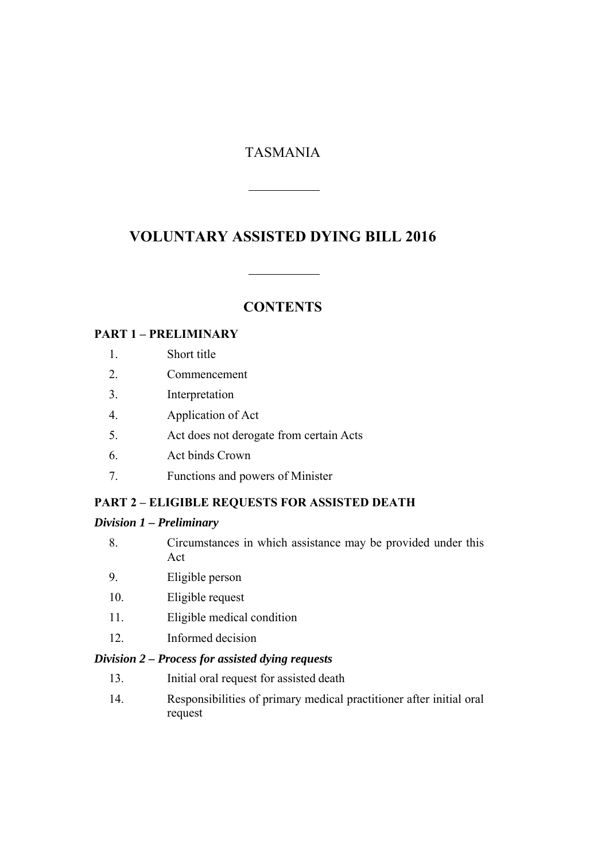# TASMANIA

# **VOLUNTARY ASSISTED DYING BILL 2016**

## **CONTENTS**

#### **PART 1 – PRELIMINARY**

- 1. Short title
- 2. Commencement
- 3. Interpretation
- 4. Application of Act
- 5. Act does not derogate from certain Acts
- 6. Act binds Crown
- 7. Functions and powers of Minister

# **PART 2 – ELIGIBLE REQUESTS FOR ASSISTED DEATH**

#### *Division 1 – Preliminary*

- 8. Circumstances in which assistance may be provided under this Act
- 9. Eligible person
- 10. Eligible request
- 11. Eligible medical condition
- 12. Informed decision

#### *Division 2 – Process for assisted dying requests*

- 13. Initial oral request for assisted death
- 14. Responsibilities of primary medical practitioner after initial oral request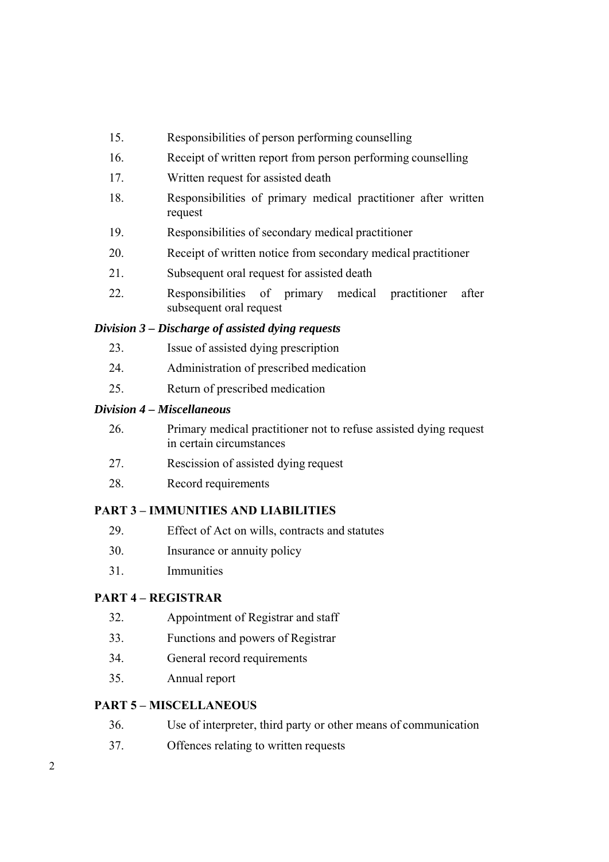- 15. Responsibilities of person performing counselling
- 16. Receipt of written report from person performing counselling
- 17. Written request for assisted death
- 18. Responsibilities of primary medical practitioner after written request
- 19. Responsibilities of secondary medical practitioner
- 20. Receipt of written notice from secondary medical practitioner
- 21. Subsequent oral request for assisted death
- 22. Responsibilities of primary medical practitioner after subsequent oral request

#### *Division 3 – Discharge of assisted dying requests*

- 23. Issue of assisted dying prescription
- 24. Administration of prescribed medication
- 25. Return of prescribed medication

#### *Division 4 – Miscellaneous*

- 26. Primary medical practitioner not to refuse assisted dying request in certain circumstances
- 27. Rescission of assisted dying request
- 28. Record requirements

### **PART 3 – IMMUNITIES AND LIABILITIES**

- 29. Effect of Act on wills, contracts and statutes
- 30. Insurance or annuity policy
- 31. Immunities

#### **PART 4 – REGISTRAR**

- 32. Appointment of Registrar and staff
- 33. Functions and powers of Registrar
- 34. General record requirements
- 35. Annual report

### **PART 5 – MISCELLANEOUS**

- 36. Use of interpreter, third party or other means of communication
- 37. Offences relating to written requests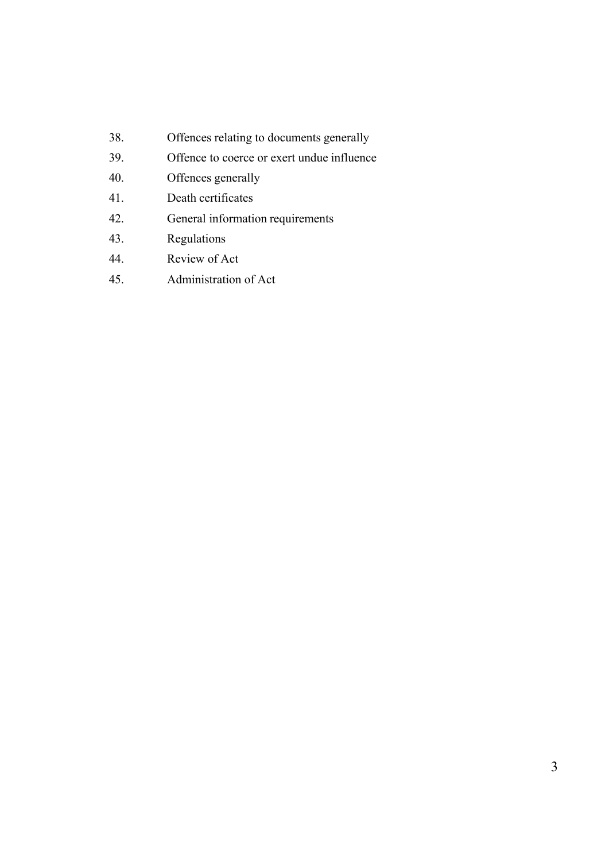- 38. Offences relating to documents generally
- 39. Offence to coerce or exert undue influence
- 40. Offences generally
- 41. Death certificates
- 42. General information requirements
- 43. Regulations
- 44. Review of Act
- 45. Administration of Act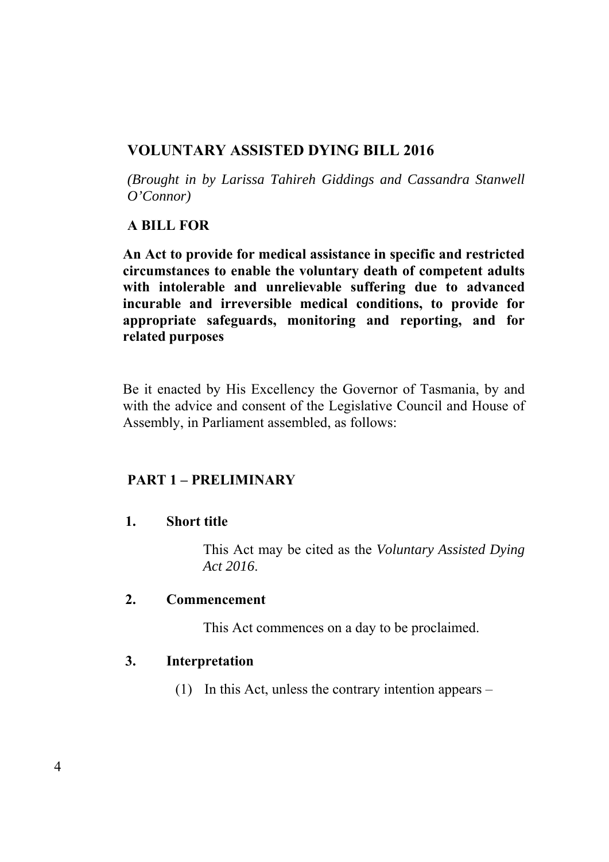# **VOLUNTARY ASSISTED DYING BILL 2016**

*(Brought in by Larissa Tahireh Giddings and Cassandra Stanwell O'Connor)* 

# **A BILL FOR**

**An Act to provide for medical assistance in specific and restricted circumstances to enable the voluntary death of competent adults with intolerable and unrelievable suffering due to advanced incurable and irreversible medical conditions, to provide for appropriate safeguards, monitoring and reporting, and for related purposes** 

Be it enacted by His Excellency the Governor of Tasmania, by and with the advice and consent of the Legislative Council and House of Assembly, in Parliament assembled, as follows:

# **PART 1 – PRELIMINARY**

# **1. Short title**

This Act may be cited as the *Voluntary Assisted Dying Act 2016*.

# **2. Commencement**

This Act commences on a day to be proclaimed.

# **3. Interpretation**

(1) In this Act, unless the contrary intention appears –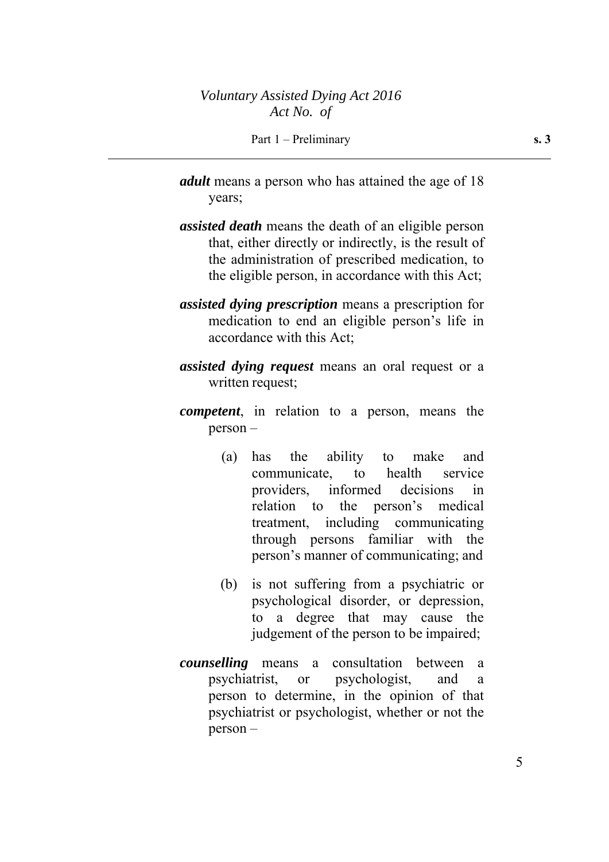- *adult* means a person who has attained the age of 18 years;
- *assisted death* means the death of an eligible person that, either directly or indirectly, is the result of the administration of prescribed medication, to the eligible person, in accordance with this Act;
- *assisted dying prescription* means a prescription for medication to end an eligible person's life in accordance with this Act;
- *assisted dying request* means an oral request or a written request;
- *competent*, in relation to a person, means the person –
	- (a) has the ability to make and communicate, to health service providers, informed decisions in relation to the person's medical treatment, including communicating through persons familiar with the person's manner of communicating; and
	- (b) is not suffering from a psychiatric or psychological disorder, or depression, to a degree that may cause the judgement of the person to be impaired;
- *counselling* means a consultation between a psychiatrist, or psychologist, and a person to determine, in the opinion of that psychiatrist or psychologist, whether or not the person –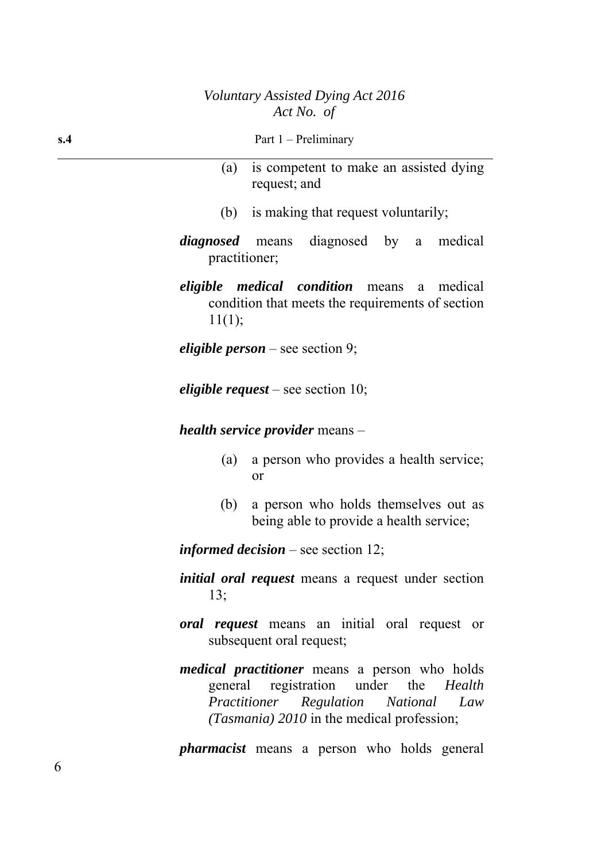- (a) is competent to make an assisted dying request; and
- (b) is making that request voluntarily;
- *diagnosed* means diagnosed by a medical practitioner;

*eligible medical condition* means a medical condition that meets the requirements of section 11(1);

*eligible person* – see section 9;

*eligible request* – see section 10;

*health service provider* means –

- (a) a person who provides a health service; or
- (b) a person who holds themselves out as being able to provide a health service;

*informed decision* – see section 12;

- *initial oral request* means a request under section 13;
- *oral request* means an initial oral request or subsequent oral request;
- *medical practitioner* means a person who holds general registration under the *Health Practitioner Regulation National Law (Tasmania) 2010* in the medical profession;

*pharmacist* means a person who holds general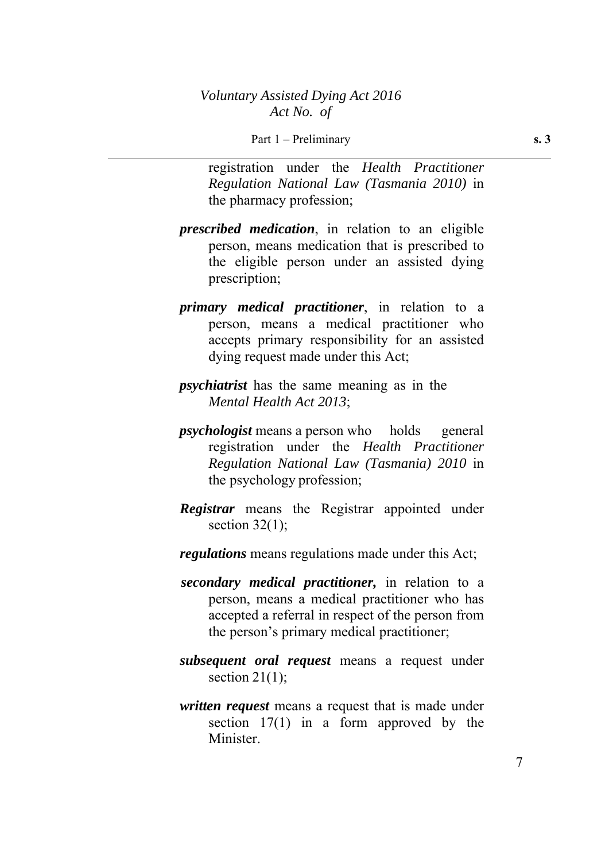registration under the *Health Practitioner Regulation National Law (Tasmania 2010)* in the pharmacy profession;

- *prescribed medication*, in relation to an eligible person, means medication that is prescribed to the eligible person under an assisted dying prescription;
- *primary medical practitioner*, in relation to a person, means a medical practitioner who accepts primary responsibility for an assisted dying request made under this Act;
- *psychiatrist* has the same meaning as in the *Mental Health Act 2013*;
- *psychologist* means a person who holds general registration under the *Health Practitioner Regulation National Law (Tasmania) 2010* in the psychology profession;
- *Registrar* means the Registrar appointed under section  $32(1)$ ;
- *regulations* means regulations made under this Act;
- *secondary medical practitioner,* in relation to a person, means a medical practitioner who has accepted a referral in respect of the person from the person's primary medical practitioner;
- *subsequent oral request* means a request under section  $21(1)$ ;
- *written request* means a request that is made under section 17(1) in a form approved by the Minister.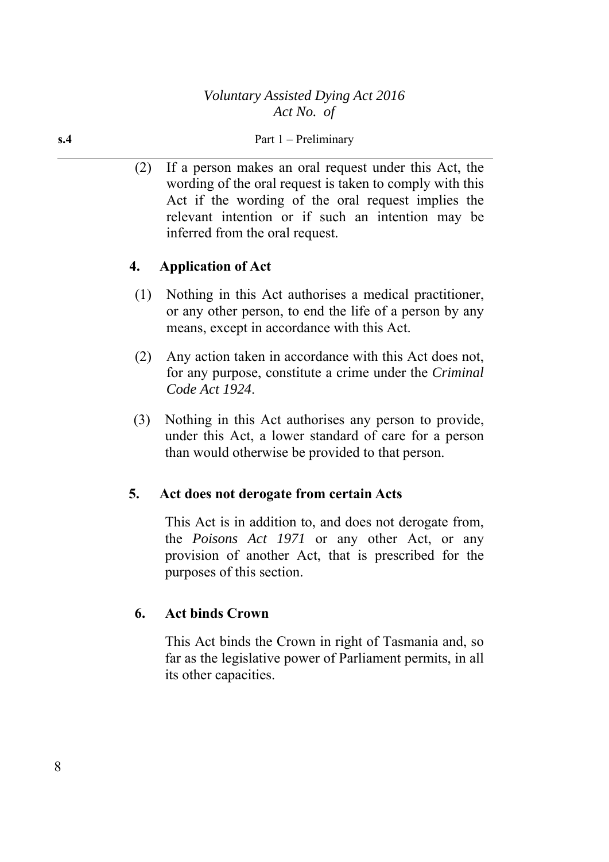(2) If a person makes an oral request under this Act, the wording of the oral request is taken to comply with this Act if the wording of the oral request implies the relevant intention or if such an intention may be inferred from the oral request.

# **4. Application of Act**

- (1) Nothing in this Act authorises a medical practitioner, or any other person, to end the life of a person by any means, except in accordance with this Act.
- (2) Any action taken in accordance with this Act does not, for any purpose, constitute a crime under the *Criminal Code Act 1924*.
- (3) Nothing in this Act authorises any person to provide, under this Act, a lower standard of care for a person than would otherwise be provided to that person.

# **5. Act does not derogate from certain Acts**

This Act is in addition to, and does not derogate from, the *Poisons Act 1971* or any other Act, or any provision of another Act, that is prescribed for the purposes of this section.

# **6. Act binds Crown**

This Act binds the Crown in right of Tasmania and, so far as the legislative power of Parliament permits, in all its other capacities.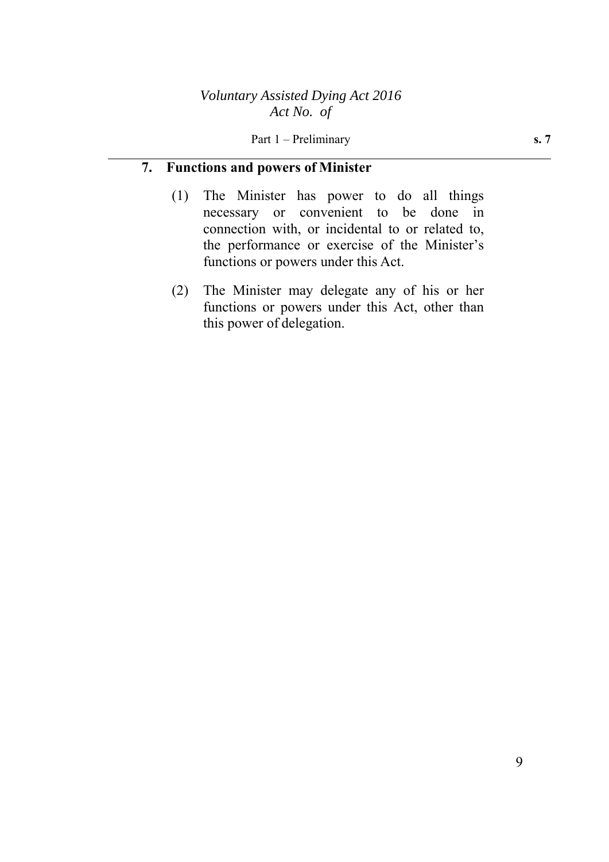### **7. Functions and powers of Minister**

- (1) The Minister has power to do all things necessary or convenient to be done in connection with, or incidental to or related to, the performance or exercise of the Minister's functions or powers under this Act.
- (2) The Minister may delegate any of his or her functions or powers under this Act, other than this power of delegation.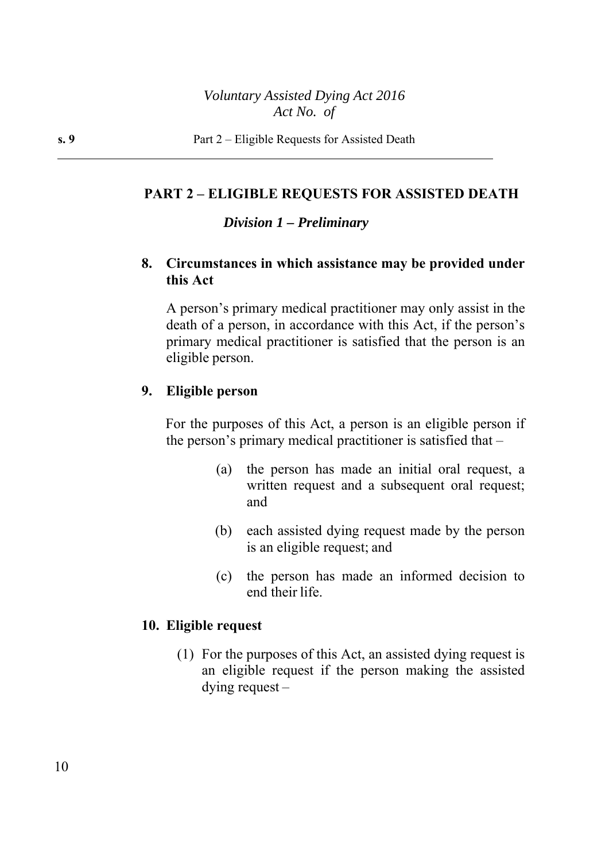#### **PART 2 – ELIGIBLE REQUESTS FOR ASSISTED DEATH**

### *Division 1 – Preliminary*

## **8. Circumstances in which assistance may be provided under this Act**

 A person's primary medical practitioner may only assist in the death of a person, in accordance with this Act, if the person's primary medical practitioner is satisfied that the person is an eligible person.

#### **9. Eligible person**

For the purposes of this Act, a person is an eligible person if the person's primary medical practitioner is satisfied that –

- (a) the person has made an initial oral request, a written request and a subsequent oral request; and
- (b) each assisted dying request made by the person is an eligible request; and
- (c) the person has made an informed decision to end their life.

#### **10. Eligible request**

(1) For the purposes of this Act, an assisted dying request is an eligible request if the person making the assisted dying request –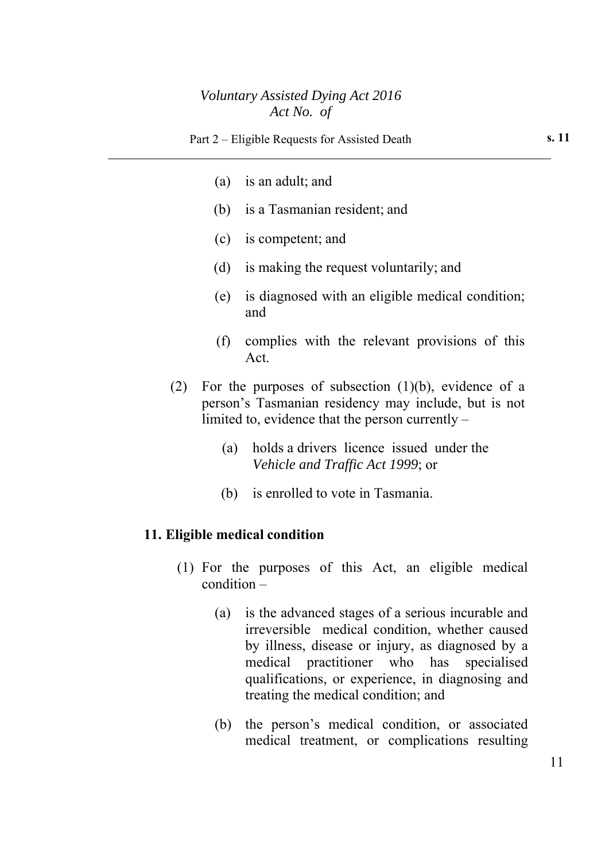- (a) is an adult; and
- (b) is a Tasmanian resident; and
- (c) is competent; and
- (d) is making the request voluntarily; and
- (e) is diagnosed with an eligible medical condition; and
- (f) complies with the relevant provisions of this Act.
- (2) For the purposes of subsection  $(1)(b)$ , evidence of a person's Tasmanian residency may include, but is not limited to, evidence that the person currently –
	- (a) holds a drivers licence issued under the *Vehicle and Traffic Act 1999*; or
	- (b) is enrolled to vote in Tasmania.

#### **11. Eligible medical condition**

- (1) For the purposes of this Act, an eligible medical condition –
	- (a) is the advanced stages of a serious incurable and irreversible medical condition, whether caused by illness, disease or injury, as diagnosed by a medical practitioner who has specialised qualifications, or experience, in diagnosing and treating the medical condition; and
	- (b) the person's medical condition, or associated medical treatment, or complications resulting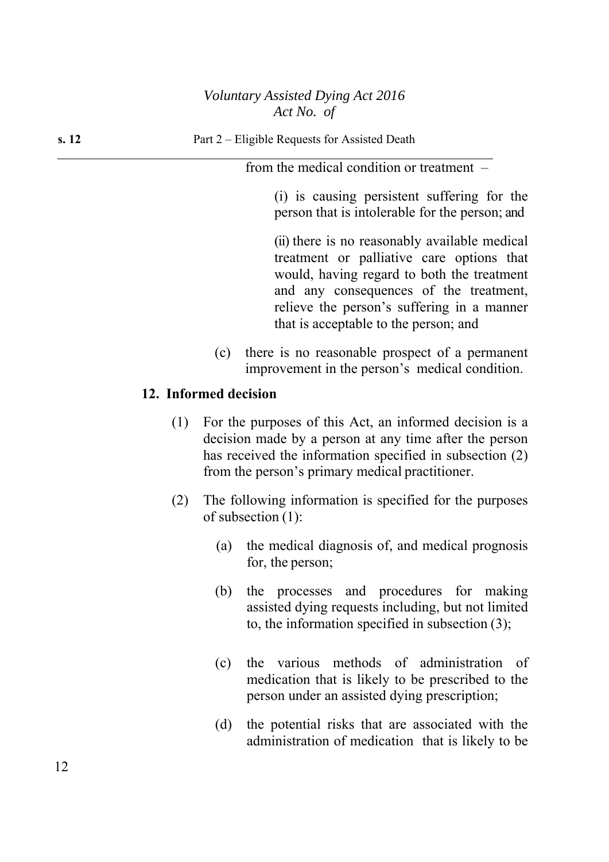from the medical condition or treatment –

(i) is causing persistent suffering for the person that is intolerable for the person; and

(ii) there is no reasonably available medical treatment or palliative care options that would, having regard to both the treatment and any consequences of the treatment, relieve the person's suffering in a manner that is acceptable to the person; and

(c) there is no reasonable prospect of a permanent improvement in the person's medical condition.

#### **12. Informed decision**

- (1) For the purposes of this Act, an informed decision is a decision made by a person at any time after the person has received the information specified in subsection (2) from the person's primary medical practitioner.
- (2) The following information is specified for the purposes of subsection (1):
	- (a) the medical diagnosis of, and medical prognosis for, the person;
	- (b) the processes and procedures for making assisted dying requests including, but not limited to, the information specified in subsection (3);
	- (c) the various methods of administration of medication that is likely to be prescribed to the person under an assisted dying prescription;
	- (d) the potential risks that are associated with the administration of medication that is likely to be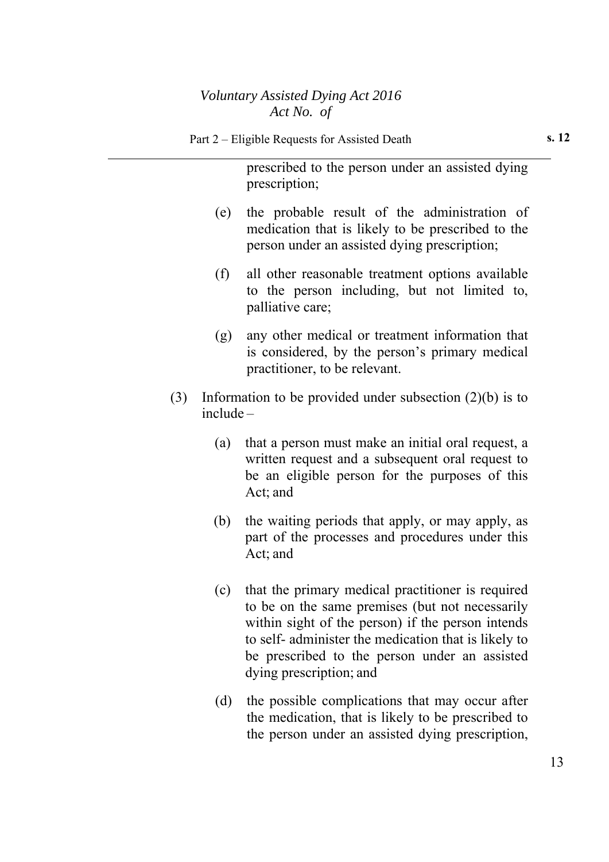|     | prescribed to the person under an assisted dying<br>prescription;                                                                                                                                                                                                  |
|-----|--------------------------------------------------------------------------------------------------------------------------------------------------------------------------------------------------------------------------------------------------------------------|
| (e) | the probable result of the administration of<br>medication that is likely to be prescribed to the<br>person under an assisted dying prescription;                                                                                                                  |
| (f) | all other reasonable treatment options available<br>to the person including, but not limited to,<br>palliative care;                                                                                                                                               |
| (g) | any other medical or treatment information that<br>is considered, by the person's primary medical<br>practitioner, to be relevant.                                                                                                                                 |
| (3) | Information to be provided under subsection $(2)(b)$ is to<br>$include -$                                                                                                                                                                                          |
| (a) | that a person must make an initial oral request, a<br>written request and a subsequent oral request to<br>be an eligible person for the purposes of this<br>Act; and                                                                                               |
| (b) | the waiting periods that apply, or may apply, as<br>part of the processes and procedures under this<br>Act; and                                                                                                                                                    |
| (c) | that the primary medical practitioner is required<br>to be on the same premises (but not necessarily<br>within sight of the person) if the person intends<br>to self- administer the medication that is likely to<br>be prescribed to the person under an assisted |

dying prescription; and

(d) the possible complications that may occur after the medication, that is likely to be prescribed to the person under an assisted dying prescription,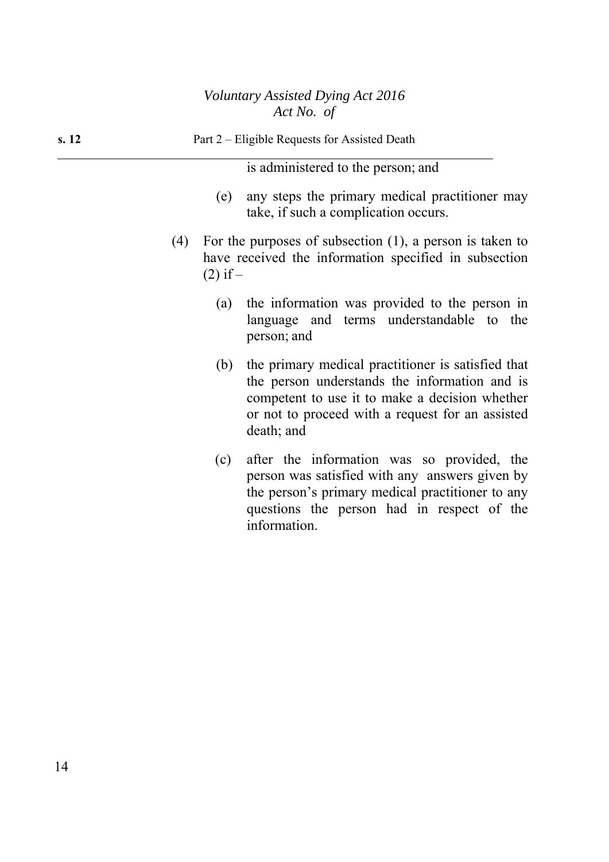| s. 12 | Part 2 – Eligible Requests for Assisted Death                                                                                                                                                                                  |
|-------|--------------------------------------------------------------------------------------------------------------------------------------------------------------------------------------------------------------------------------|
|       | is administered to the person; and                                                                                                                                                                                             |
|       | any steps the primary medical practitioner may<br>(e)<br>take, if such a complication occurs.                                                                                                                                  |
|       | For the purposes of subsection $(1)$ , a person is taken to<br>(4)<br>have received the information specified in subsection<br>$(2)$ if –                                                                                      |
|       | the information was provided to the person in<br>(a)<br>language and terms understandable to the<br>person; and                                                                                                                |
|       | the primary medical practitioner is satisfied that<br>(b)<br>the person understands the information and is<br>competent to use it to make a decision whether<br>or not to proceed with a request for an assisted<br>death; and |
|       | after the information was so provided, the<br>(c)<br>person was satisfied with any answers given by<br>the person's primary medical practitioner to any<br>questions the person had in respect of the                          |

information.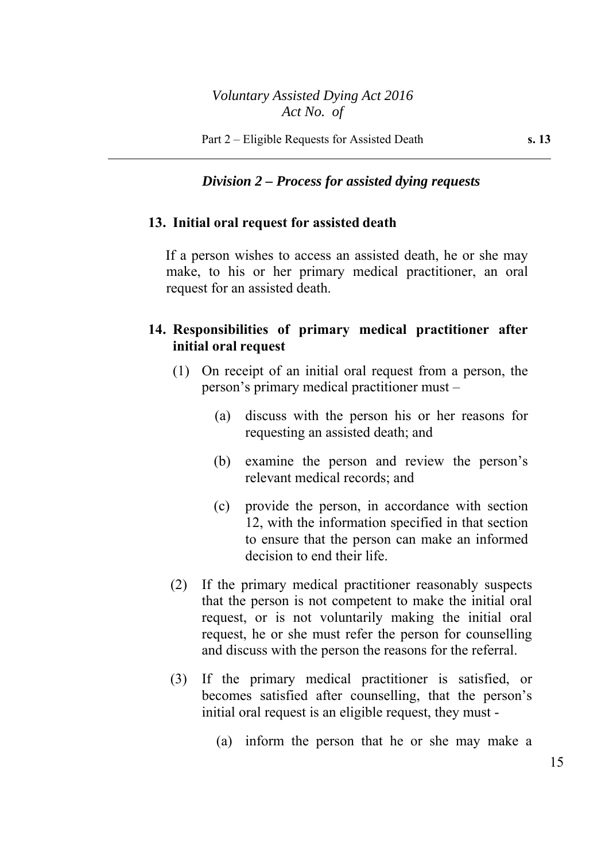#### *Division 2 – Process for assisted dying requests*

#### **13. Initial oral request for assisted death**

If a person wishes to access an assisted death, he or she may make, to his or her primary medical practitioner, an oral request for an assisted death.

## **14. Responsibilities of primary medical practitioner after initial oral request**

- (1) On receipt of an initial oral request from a person, the person's primary medical practitioner must –
	- (a) discuss with the person his or her reasons for requesting an assisted death; and
	- (b) examine the person and review the person's relevant medical records; and
	- (c) provide the person, in accordance with section 12, with the information specified in that section to ensure that the person can make an informed decision to end their life.
- (2) If the primary medical practitioner reasonably suspects that the person is not competent to make the initial oral request, or is not voluntarily making the initial oral request, he or she must refer the person for counselling and discuss with the person the reasons for the referral.
- (3) If the primary medical practitioner is satisfied, or becomes satisfied after counselling, that the person's initial oral request is an eligible request, they must -
	- (a) inform the person that he or she may make a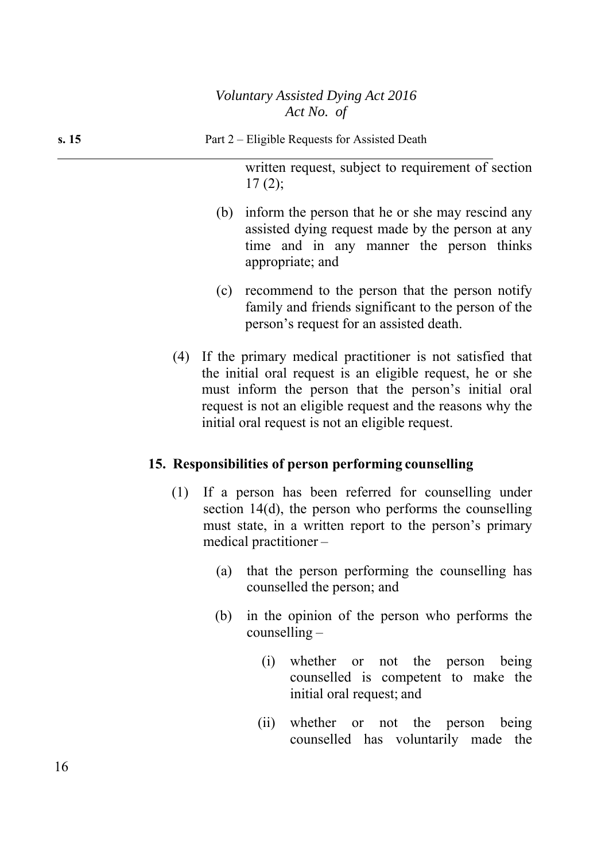written request, subject to requirement of section  $17(2)$ ;

- (b) inform the person that he or she may rescind any assisted dying request made by the person at any time and in any manner the person thinks appropriate; and
- (c) recommend to the person that the person notify family and friends significant to the person of the person's request for an assisted death.
- (4) If the primary medical practitioner is not satisfied that the initial oral request is an eligible request, he or she must inform the person that the person's initial oral request is not an eligible request and the reasons why the initial oral request is not an eligible request.

# **15. Responsibilities of person performing counselling**

- (1) If a person has been referred for counselling under section 14(d), the person who performs the counselling must state, in a written report to the person's primary medical practitioner –
	- (a) that the person performing the counselling has counselled the person; and
	- (b) in the opinion of the person who performs the counselling –
		- (i) whether or not the person being counselled is competent to make the initial oral request; and
		- (ii) whether or not the person being counselled has voluntarily made the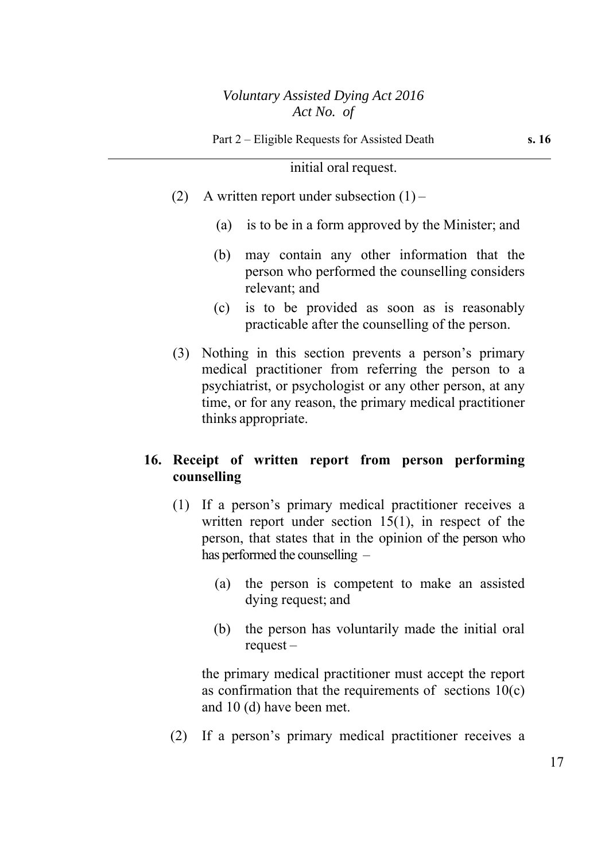#### initial oral request.

- (2) A written report under subsection  $(1)$ 
	- (a) is to be in a form approved by the Minister; and
	- (b) may contain any other information that the person who performed the counselling considers relevant; and
	- (c) is to be provided as soon as is reasonably practicable after the counselling of the person.
- (3) Nothing in this section prevents a person's primary medical practitioner from referring the person to a psychiatrist, or psychologist or any other person, at any time, or for any reason, the primary medical practitioner thinks appropriate.

### **16. Receipt of written report from person performing counselling**

- (1) If a person's primary medical practitioner receives a written report under section 15(1), in respect of the person, that states that in the opinion of the person who has performed the counselling –
	- (a) the person is competent to make an assisted dying request; and
	- (b) the person has voluntarily made the initial oral request –

the primary medical practitioner must accept the report as confirmation that the requirements of sections  $10(c)$ and 10 (d) have been met.

(2) If a person's primary medical practitioner receives a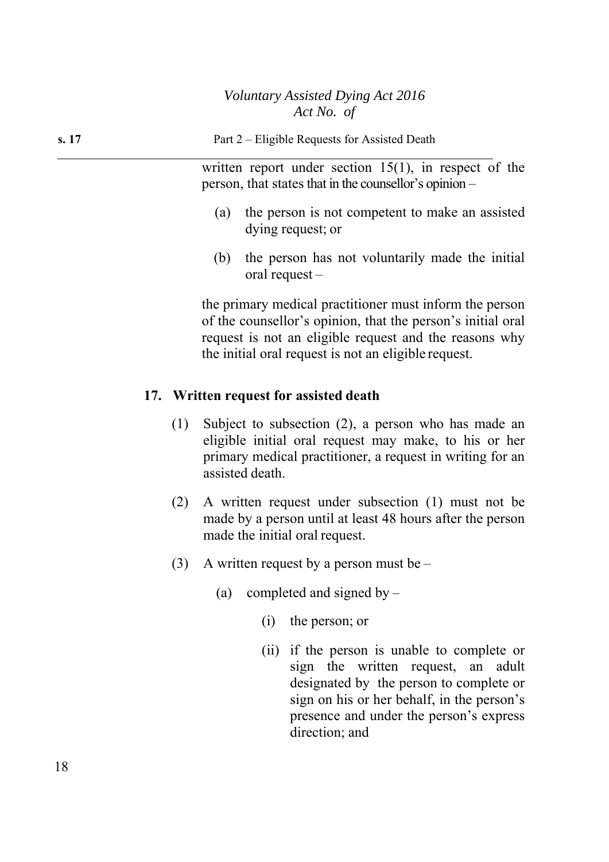**s. 17 Part 2** – Eligible Requests for Assisted Death

written report under section 15(1), in respect of the person, that states that in the counsellor's opinion –

- (a) the person is not competent to make an assisted dying request; or
- (b) the person has not voluntarily made the initial oral request –

the primary medical practitioner must inform the person of the counsellor's opinion, that the person's initial oral request is not an eligible request and the reasons why the initial oral request is not an eligible request.

# **17. Written request for assisted death**

- (1) Subject to subsection (2), a person who has made an eligible initial oral request may make, to his or her primary medical practitioner, a request in writing for an assisted death.
- (2) A written request under subsection (1) must not be made by a person until at least 48 hours after the person made the initial oral request.
- (3) A written request by a person must be  $-$ 
	- (a) completed and signed by  $-$ 
		- (i) the person; or
		- (ii) if the person is unable to complete or sign the written request, an adult designated by the person to complete or sign on his or her behalf, in the person's presence and under the person's express direction; and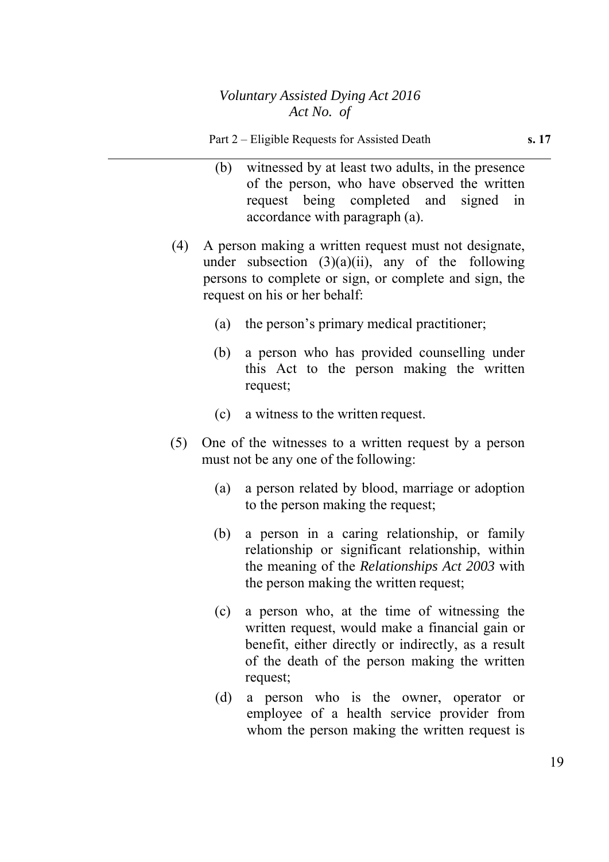- (b) witnessed by at least two adults, in the presence of the person, who have observed the written request being completed and signed in accordance with paragraph (a).
- (4) A person making a written request must not designate, under subsection  $(3)(a)(ii)$ , any of the following persons to complete or sign, or complete and sign, the request on his or her behalf:
	- (a) the person's primary medical practitioner;
	- (b) a person who has provided counselling under this Act to the person making the written request;
	- (c) a witness to the written request.
- (5) One of the witnesses to a written request by a person must not be any one of the following:
	- (a) a person related by blood, marriage or adoption to the person making the request;
	- (b) a person in a caring relationship, or family relationship or significant relationship, within the meaning of the *Relationships Act 2003* with the person making the written request;
	- (c) a person who, at the time of witnessing the written request, would make a financial gain or benefit, either directly or indirectly, as a result of the death of the person making the written request;
	- (d) a person who is the owner, operator or employee of a health service provider from whom the person making the written request is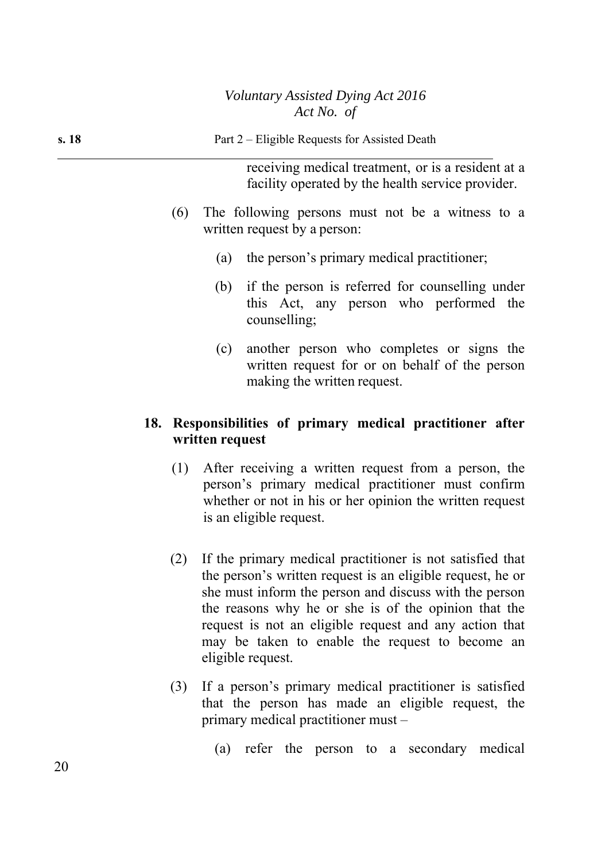| s. 18 | Part 2 – Eligible Requests for Assisted Death                                                                 |  |  |  |  |
|-------|---------------------------------------------------------------------------------------------------------------|--|--|--|--|
|       | receiving medical treatment, or is a resident at a<br>facility operated by the health service provider.       |  |  |  |  |
|       | The following persons must not be a witness to a<br>(6)<br>written request by a person:                       |  |  |  |  |
|       | the person's primary medical practitioner;<br>(a)                                                             |  |  |  |  |
|       | (b) if the person is referred for counselling under<br>this Act, any person who performed the<br>counselling; |  |  |  |  |
|       | another person who completes or signs the<br>(c)<br>written request for or on behalf of the person            |  |  |  |  |

## **18. Responsibilities of primary medical practitioner after written request**

making the written request.

- (1) After receiving a written request from a person, the person's primary medical practitioner must confirm whether or not in his or her opinion the written request is an eligible request.
- (2) If the primary medical practitioner is not satisfied that the person's written request is an eligible request, he or she must inform the person and discuss with the person the reasons why he or she is of the opinion that the request is not an eligible request and any action that may be taken to enable the request to become an eligible request.
- (3) If a person's primary medical practitioner is satisfied that the person has made an eligible request, the primary medical practitioner must –
	- (a) refer the person to a secondary medical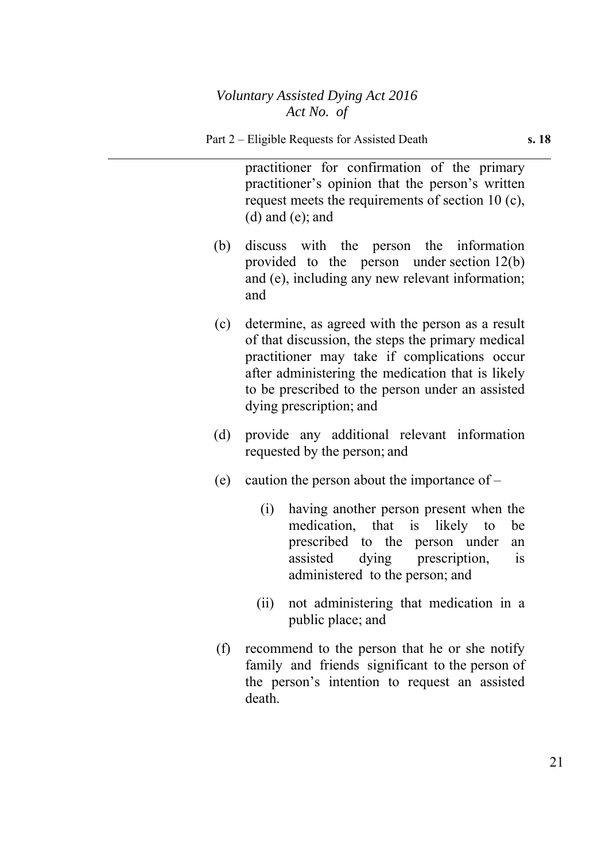practitioner for confirmation of the primary practitioner's opinion that the person's written request meets the requirements of section 10 (c), (d) and (e); and

- (b) discuss with the person the information provided to the person under section 12(b) and (e), including any new relevant information; and
- (c) determine, as agreed with the person as a result of that discussion, the steps the primary medical practitioner may take if complications occur after administering the medication that is likely to be prescribed to the person under an assisted dying prescription; and
- (d) provide any additional relevant information requested by the person; and
- (e) caution the person about the importance of  $-$ 
	- (i) having another person present when the medication, that is likely to be prescribed to the person under an assisted dying prescription, is administered to the person; and
	- (ii) not administering that medication in a public place; and
- (f) recommend to the person that he or she notify family and friends significant to the person of the person's intention to request an assisted death.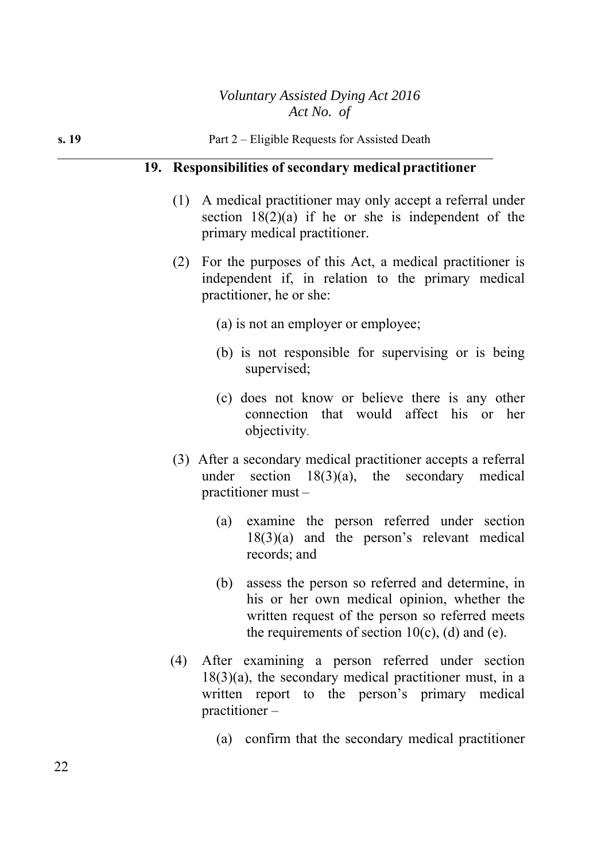|       | Act No. of                                                                                                                                            |
|-------|-------------------------------------------------------------------------------------------------------------------------------------------------------|
| s. 19 | Part 2 – Eligible Requests for Assisted Death                                                                                                         |
|       | 19. Responsibilities of secondary medical practitioner                                                                                                |
|       | (1) A medical practitioner may only accept a referral under<br>section $18(2)(a)$ if he or she is independent of the<br>primary medical practitioner. |
|       | (2) For the purposes of this Act, a medical practitioner is<br>independent if, in relation to the primary medical<br>practitioner, he or she:         |
|       | (a) is not an employer or employee;                                                                                                                   |
|       | (b) is not responsible for supervising or is being<br>supervised;                                                                                     |
|       | (a) does not know as believe there is eny other                                                                                                       |

- (c) does not know or believe there is any other connection that would affect his or her objectivity.
- (3) After a secondary medical practitioner accepts a referral under section 18(3)(a), the secondary medical practitioner must –
	- (a) examine the person referred under section 18(3)(a) and the person's relevant medical records; and
	- (b) assess the person so referred and determine, in his or her own medical opinion, whether the written request of the person so referred meets the requirements of section  $10(c)$ , (d) and (e).
- (4) After examining a person referred under section 18(3)(a), the secondary medical practitioner must, in a written report to the person's primary medical practitioner –
	- (a) confirm that the secondary medical practitioner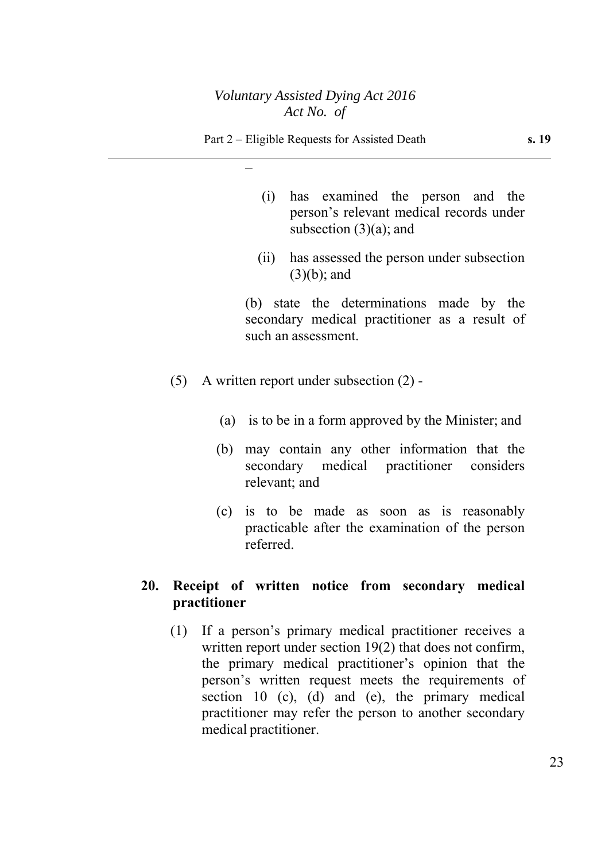–

- (i) has examined the person and the person's relevant medical records under subsection  $(3)(a)$ ; and
- (ii) has assessed the person under subsection (3)(b); and

 (b) state the determinations made by the secondary medical practitioner as a result of such an assessment.

- (5) A written report under subsection (2)
	- (a) is to be in a form approved by the Minister; and
	- (b) may contain any other information that the secondary medical practitioner considers relevant; and
	- (c) is to be made as soon as is reasonably practicable after the examination of the person referred.

# **20. Receipt of written notice from secondary medical practitioner**

(1) If a person's primary medical practitioner receives a written report under section 19(2) that does not confirm, the primary medical practitioner's opinion that the person's written request meets the requirements of section 10 (c), (d) and (e), the primary medical practitioner may refer the person to another secondary medical practitioner.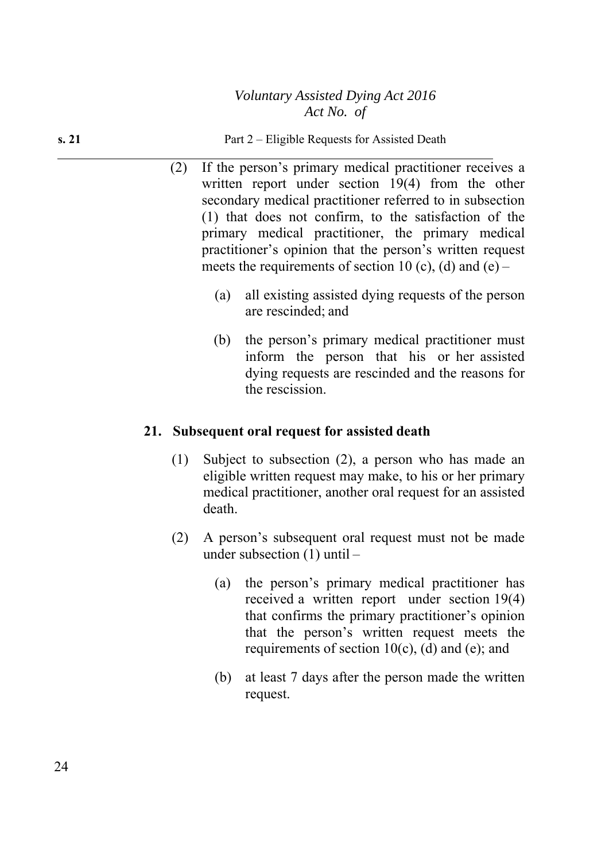**s. 21 Part 2** – Eligible Requests for Assisted Death

- (2) If the person's primary medical practitioner receives a written report under section 19(4) from the other secondary medical practitioner referred to in subsection (1) that does not confirm, to the satisfaction of the primary medical practitioner, the primary medical practitioner's opinion that the person's written request meets the requirements of section 10 (c), (d) and (e) –
	- (a) all existing assisted dying requests of the person are rescinded; and
	- (b) the person's primary medical practitioner must inform the person that his or her assisted dying requests are rescinded and the reasons for the rescission.

### **21. Subsequent oral request for assisted death**

- (1) Subject to subsection (2), a person who has made an eligible written request may make, to his or her primary medical practitioner, another oral request for an assisted death.
- (2) A person's subsequent oral request must not be made under subsection (1) until –
	- (a) the person's primary medical practitioner has received a written report under section 19(4) that confirms the primary practitioner's opinion that the person's written request meets the requirements of section  $10(c)$ , (d) and (e); and
	- (b) at least 7 days after the person made the written request.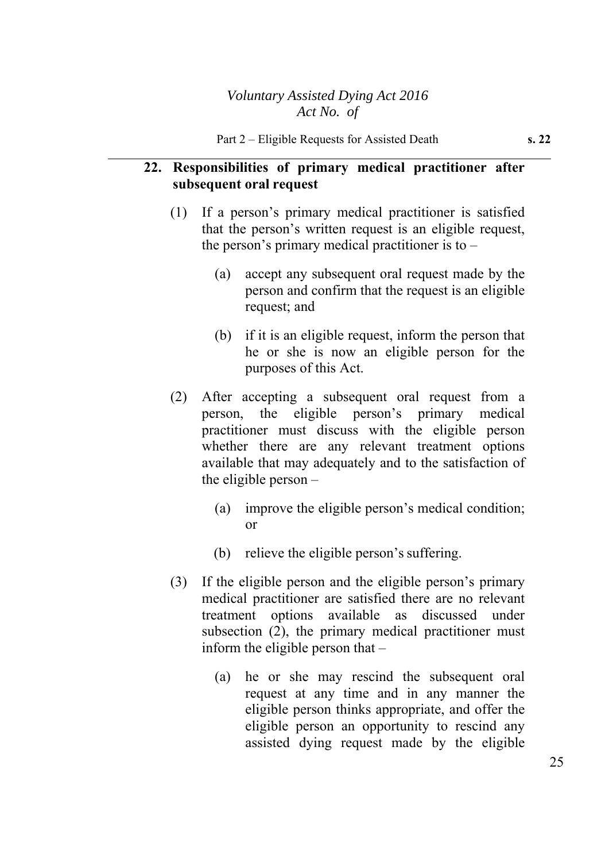## **22. Responsibilities of primary medical practitioner after subsequent oral request**

- (1) If a person's primary medical practitioner is satisfied that the person's written request is an eligible request, the person's primary medical practitioner is to –
	- (a) accept any subsequent oral request made by the person and confirm that the request is an eligible request; and
	- (b) if it is an eligible request, inform the person that he or she is now an eligible person for the purposes of this Act.
- (2) After accepting a subsequent oral request from a person, the eligible person's primary medical practitioner must discuss with the eligible person whether there are any relevant treatment options available that may adequately and to the satisfaction of the eligible person –
	- (a) improve the eligible person's medical condition; or
	- (b) relieve the eligible person's suffering.
- (3) If the eligible person and the eligible person's primary medical practitioner are satisfied there are no relevant treatment options available as discussed under subsection (2), the primary medical practitioner must inform the eligible person that –
	- (a) he or she may rescind the subsequent oral request at any time and in any manner the eligible person thinks appropriate, and offer the eligible person an opportunity to rescind any assisted dying request made by the eligible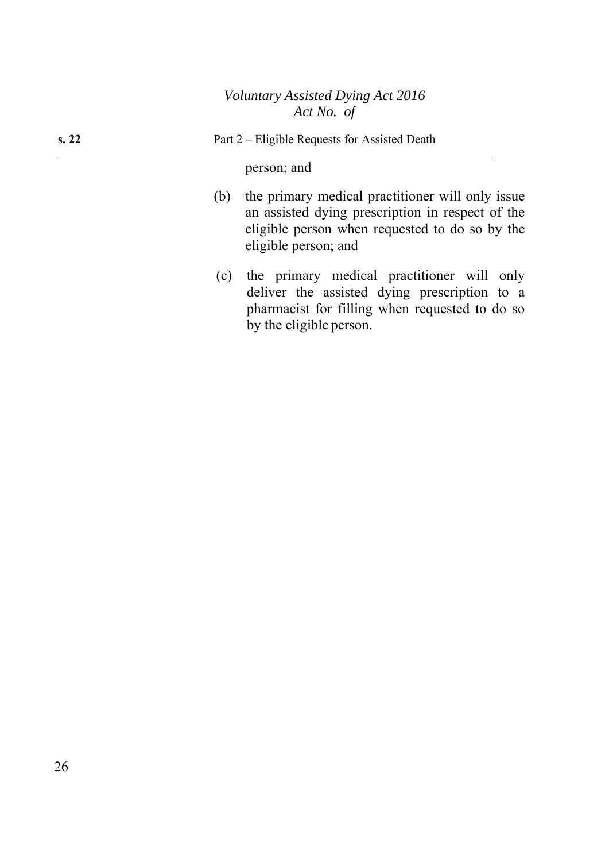**s. 22 Part 2** – Eligible Requests for Assisted Death

## person; and

- (b) the primary medical practitioner will only issue an assisted dying prescription in respect of the eligible person when requested to do so by the eligible person; and
- (c) the primary medical practitioner will only deliver the assisted dying prescription to a pharmacist for filling when requested to do so by the eligible person.

26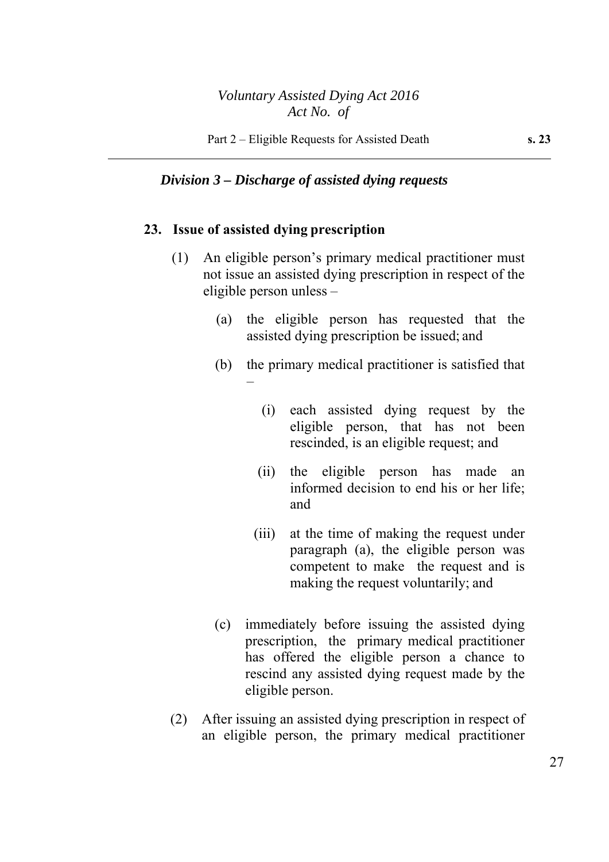#### *Division 3 – Discharge of assisted dying requests*

#### **23. Issue of assisted dying prescription**

- (1) An eligible person's primary medical practitioner must not issue an assisted dying prescription in respect of the eligible person unless –
	- (a) the eligible person has requested that the assisted dying prescription be issued; and
	- (b) the primary medical practitioner is satisfied that –
		- (i) each assisted dying request by the eligible person, that has not been rescinded, is an eligible request; and
		- (ii) the eligible person has made an informed decision to end his or her life; and
		- (iii) at the time of making the request under paragraph (a), the eligible person was competent to make the request and is making the request voluntarily; and
	- (c) immediately before issuing the assisted dying prescription, the primary medical practitioner has offered the eligible person a chance to rescind any assisted dying request made by the eligible person.
- (2) After issuing an assisted dying prescription in respect of an eligible person, the primary medical practitioner

27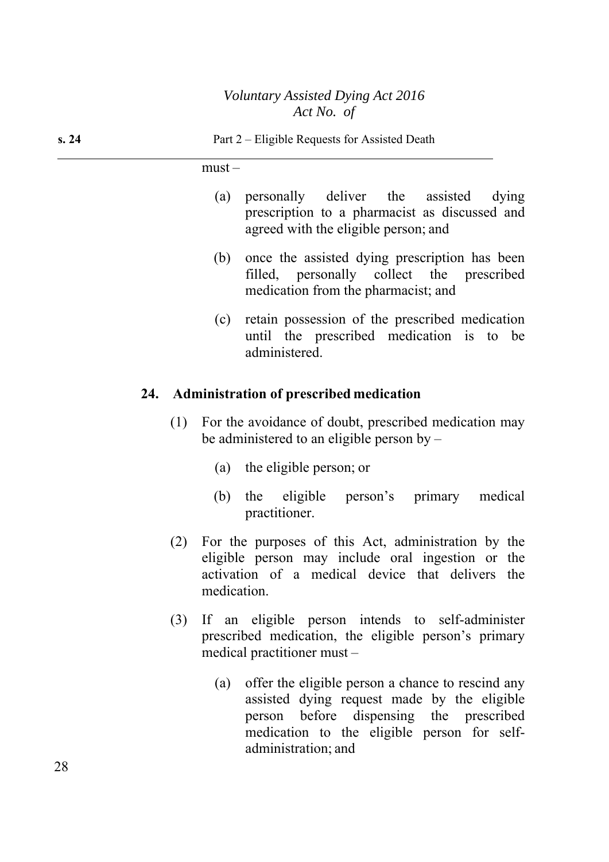must –

- (a) personally deliver the assisted dying prescription to a pharmacist as discussed and agreed with the eligible person; and
- (b) once the assisted dying prescription has been filled, personally collect the prescribed medication from the pharmacist; and
- (c) retain possession of the prescribed medication until the prescribed medication is to be administered.

### **24. Administration of prescribed medication**

- (1) For the avoidance of doubt, prescribed medication may be administered to an eligible person by –
	- (a) the eligible person; or
	- (b) the eligible person's primary medical practitioner.
- (2) For the purposes of this Act, administration by the eligible person may include oral ingestion or the activation of a medical device that delivers the medication.
- (3) If an eligible person intends to self-administer prescribed medication, the eligible person's primary medical practitioner must –
	- (a) offer the eligible person a chance to rescind any assisted dying request made by the eligible person before dispensing the prescribed medication to the eligible person for selfadministration; and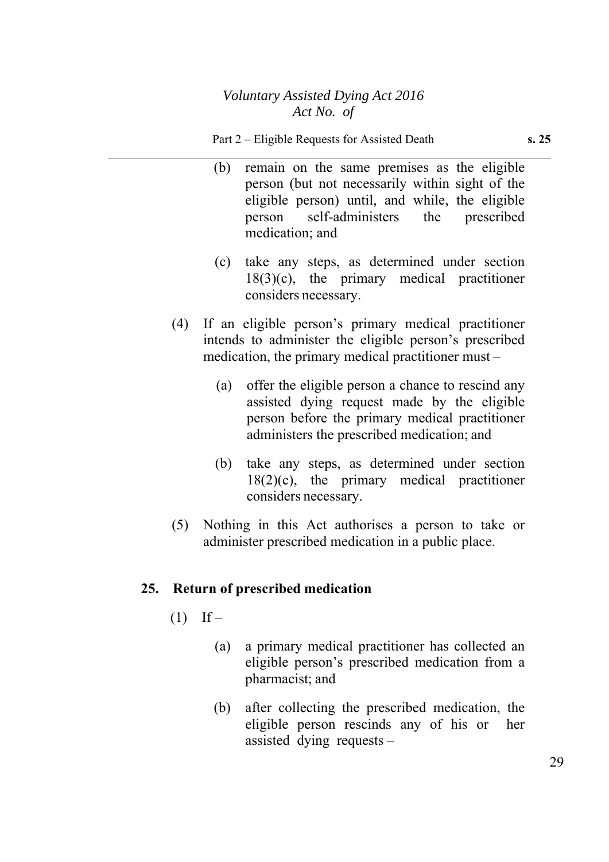- (b) remain on the same premises as the eligible person (but not necessarily within sight of the eligible person) until, and while, the eligible person self-administers the prescribed medication; and
- (c) take any steps, as determined under section  $18(3)(c)$ , the primary medical practitioner considers necessary.
- (4) If an eligible person's primary medical practitioner intends to administer the eligible person's prescribed medication, the primary medical practitioner must –
	- (a) offer the eligible person a chance to rescind any assisted dying request made by the eligible person before the primary medical practitioner administers the prescribed medication; and
	- (b) take any steps, as determined under section  $18(2)(c)$ , the primary medical practitioner considers necessary.
- (5) Nothing in this Act authorises a person to take or administer prescribed medication in a public place.

# **25. Return of prescribed medication**

- $(1)$  If
	- (a) a primary medical practitioner has collected an eligible person's prescribed medication from a pharmacist; and
	- (b) after collecting the prescribed medication, the eligible person rescinds any of his or her assisted dying requests –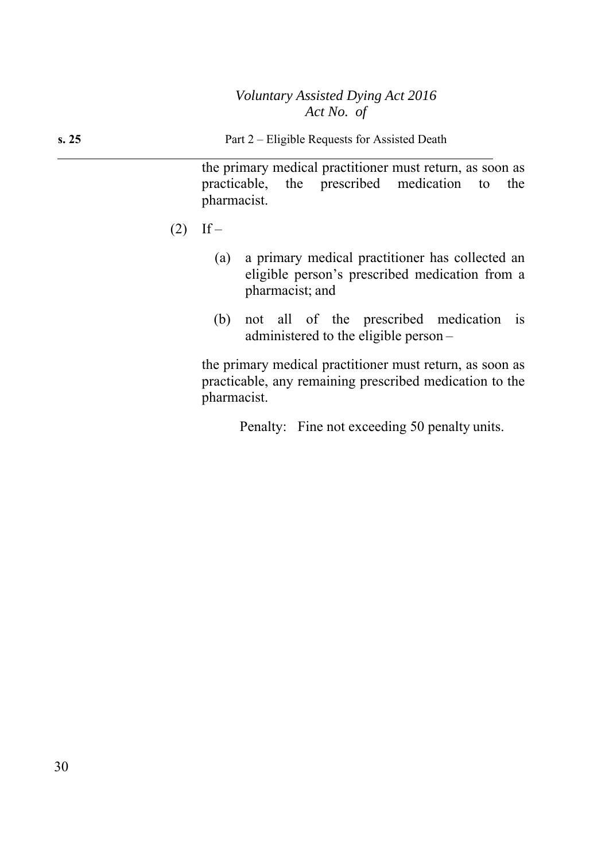the primary medical practitioner must return, as soon as practicable, the prescribed medication to the pharmacist.

- $(2)$  If
	- (a) a primary medical practitioner has collected an eligible person's prescribed medication from a pharmacist; and
	- (b) not all of the prescribed medication is administered to the eligible person –

the primary medical practitioner must return, as soon as practicable, any remaining prescribed medication to the pharmacist.

Penalty: Fine not exceeding 50 penalty units.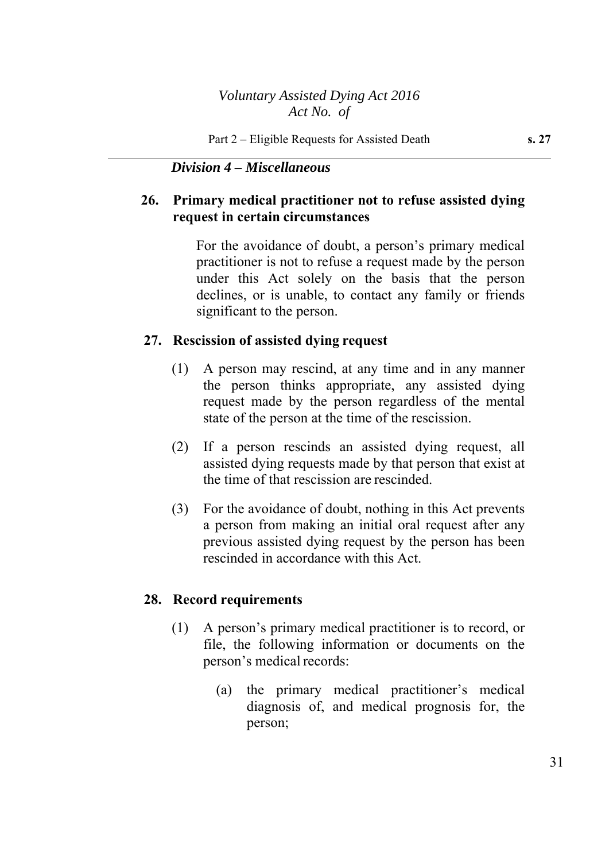*Division 4 – Miscellaneous* 

# **26. Primary medical practitioner not to refuse assisted dying request in certain circumstances**

For the avoidance of doubt, a person's primary medical practitioner is not to refuse a request made by the person under this Act solely on the basis that the person declines, or is unable, to contact any family or friends significant to the person.

### **27. Rescission of assisted dying request**

- (1) A person may rescind, at any time and in any manner the person thinks appropriate, any assisted dying request made by the person regardless of the mental state of the person at the time of the rescission.
- (2) If a person rescinds an assisted dying request, all assisted dying requests made by that person that exist at the time of that rescission are rescinded.
- (3) For the avoidance of doubt, nothing in this Act prevents a person from making an initial oral request after any previous assisted dying request by the person has been rescinded in accordance with this Act.

#### **28. Record requirements**

- (1) A person's primary medical practitioner is to record, or file, the following information or documents on the person's medical records:
	- (a) the primary medical practitioner's medical diagnosis of, and medical prognosis for, the person;

31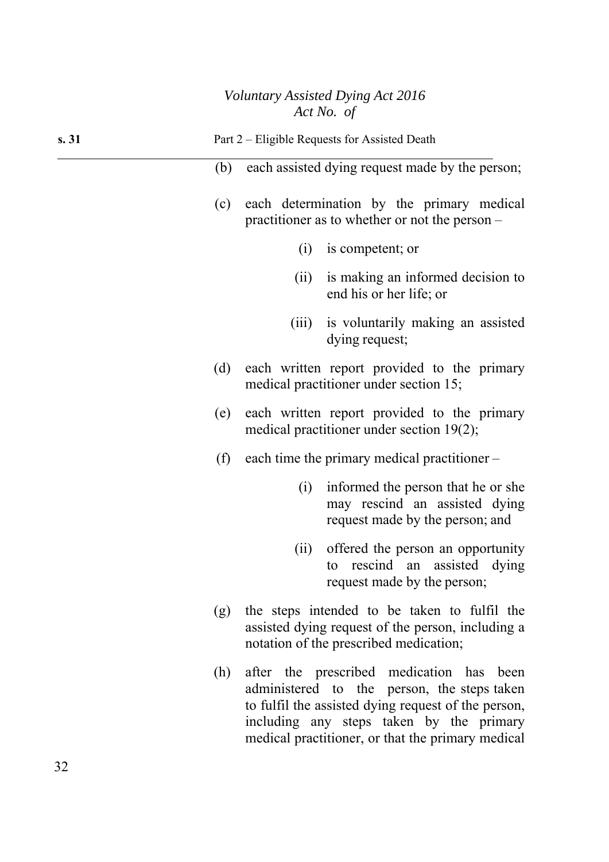| s. 31 |                                                                                                                                                    | Part 2 – Eligible Requests for Assisted Death                                               |                                                                                                                                                                                                                                                 |  |  |
|-------|----------------------------------------------------------------------------------------------------------------------------------------------------|---------------------------------------------------------------------------------------------|-------------------------------------------------------------------------------------------------------------------------------------------------------------------------------------------------------------------------------------------------|--|--|
|       | (b)                                                                                                                                                | each assisted dying request made by the person;                                             |                                                                                                                                                                                                                                                 |  |  |
|       | (c)                                                                                                                                                |                                                                                             | each determination by the primary medical<br>practitioner as to whether or not the person $-$                                                                                                                                                   |  |  |
|       |                                                                                                                                                    | (i)                                                                                         | is competent; or                                                                                                                                                                                                                                |  |  |
|       |                                                                                                                                                    | (ii)                                                                                        | is making an informed decision to<br>end his or her life; or                                                                                                                                                                                    |  |  |
|       |                                                                                                                                                    | (iii)                                                                                       | is voluntarily making an assisted<br>dying request;                                                                                                                                                                                             |  |  |
|       | each written report provided to the primary<br>(d)<br>medical practitioner under section 15;                                                       |                                                                                             |                                                                                                                                                                                                                                                 |  |  |
|       | (e)                                                                                                                                                | each written report provided to the primary<br>medical practitioner under section $19(2)$ ; |                                                                                                                                                                                                                                                 |  |  |
|       | (f)<br>each time the primary medical practitioner –                                                                                                |                                                                                             |                                                                                                                                                                                                                                                 |  |  |
|       |                                                                                                                                                    | (i)                                                                                         | informed the person that he or she<br>may rescind an assisted dying<br>request made by the person; and                                                                                                                                          |  |  |
|       |                                                                                                                                                    | (ii)                                                                                        | offered the person an opportunity<br>to rescind an assisted dying<br>request made by the person;                                                                                                                                                |  |  |
|       | the steps intended to be taken to fulfil the<br>(g)<br>assisted dying request of the person, including a<br>notation of the prescribed medication; |                                                                                             |                                                                                                                                                                                                                                                 |  |  |
|       | (h)                                                                                                                                                |                                                                                             | after the prescribed medication has been<br>administered to the person, the steps taken<br>to fulfil the assisted dying request of the person,<br>including any steps taken by the primary<br>medical practitioner, or that the primary medical |  |  |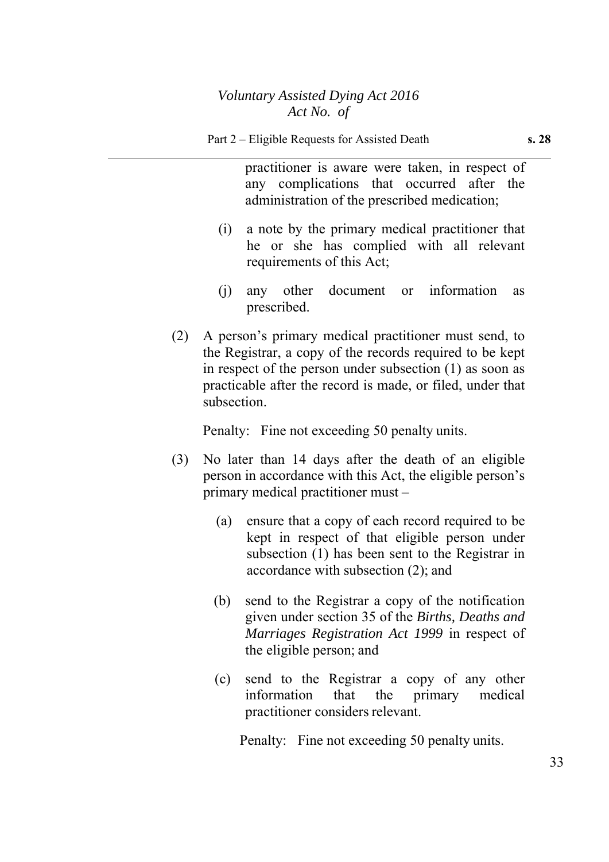practitioner is aware were taken, in respect of any complications that occurred after the administration of the prescribed medication;

- (i) a note by the primary medical practitioner that he or she has complied with all relevant requirements of this Act;
- (j) any other document or information as prescribed.
- (2) A person's primary medical practitioner must send, to the Registrar, a copy of the records required to be kept in respect of the person under subsection (1) as soon as practicable after the record is made, or filed, under that subsection.

Penalty: Fine not exceeding 50 penalty units.

- (3) No later than 14 days after the death of an eligible person in accordance with this Act, the eligible person's primary medical practitioner must –
	- (a) ensure that a copy of each record required to be kept in respect of that eligible person under subsection (1) has been sent to the Registrar in accordance with subsection (2); and
	- (b) send to the Registrar a copy of the notification given under section 35 of the *Births, Deaths and Marriages Registration Act 1999* in respect of the eligible person; and
	- (c) send to the Registrar a copy of any other information that the primary medical practitioner considers relevant.

Penalty: Fine not exceeding 50 penalty units.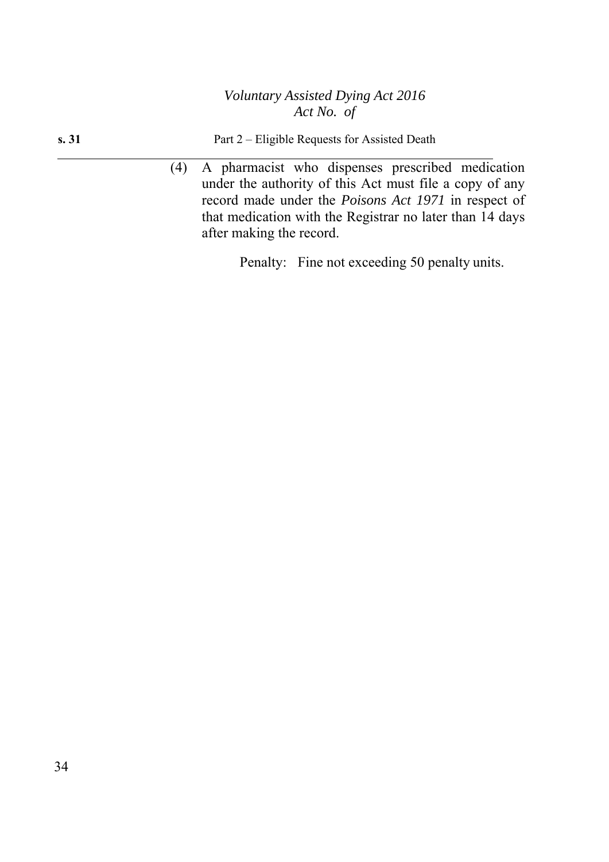| s.31 |  |  |  | Part 2 – Eligible Requests for Assisted Death |  |
|------|--|--|--|-----------------------------------------------|--|
|      |  |  |  |                                               |  |

(4) A pharmacist who dispenses prescribed medication under the authority of this Act must file a copy of any record made under the *Poisons Act 1971* in respect of that medication with the Registrar no later than 14 days after making the record.

Penalty: Fine not exceeding 50 penalty units.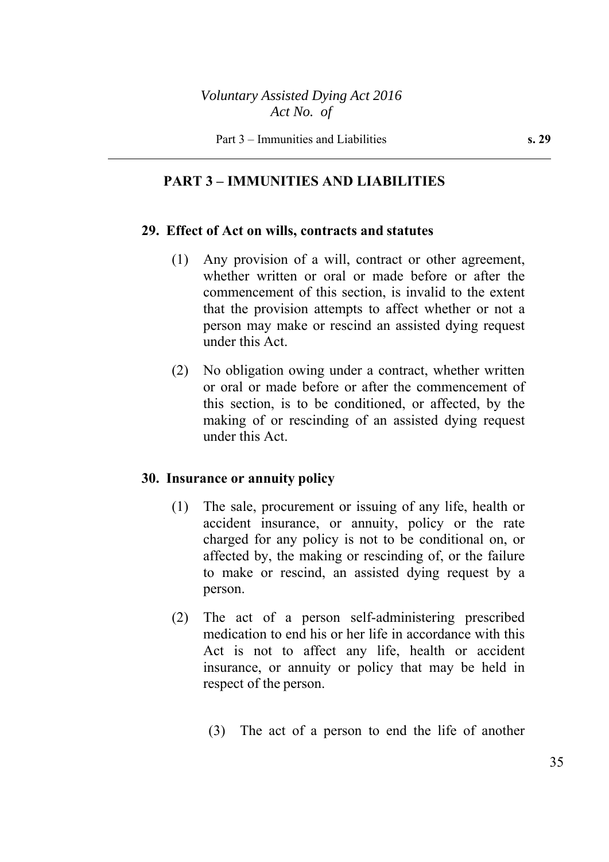# **PART 3 – IMMUNITIES AND LIABILITIES**

### **29. Effect of Act on wills, contracts and statutes**

- (1) Any provision of a will, contract or other agreement, whether written or oral or made before or after the commencement of this section, is invalid to the extent that the provision attempts to affect whether or not a person may make or rescind an assisted dying request under this Act.
- (2) No obligation owing under a contract, whether written or oral or made before or after the commencement of this section, is to be conditioned, or affected, by the making of or rescinding of an assisted dying request under this Act.

### **30. Insurance or annuity policy**

- (1) The sale, procurement or issuing of any life, health or accident insurance, or annuity, policy or the rate charged for any policy is not to be conditional on, or affected by, the making or rescinding of, or the failure to make or rescind, an assisted dying request by a person.
- (2) The act of a person self-administering prescribed medication to end his or her life in accordance with this Act is not to affect any life, health or accident insurance, or annuity or policy that may be held in respect of the person.
	- (3) The act of a person to end the life of another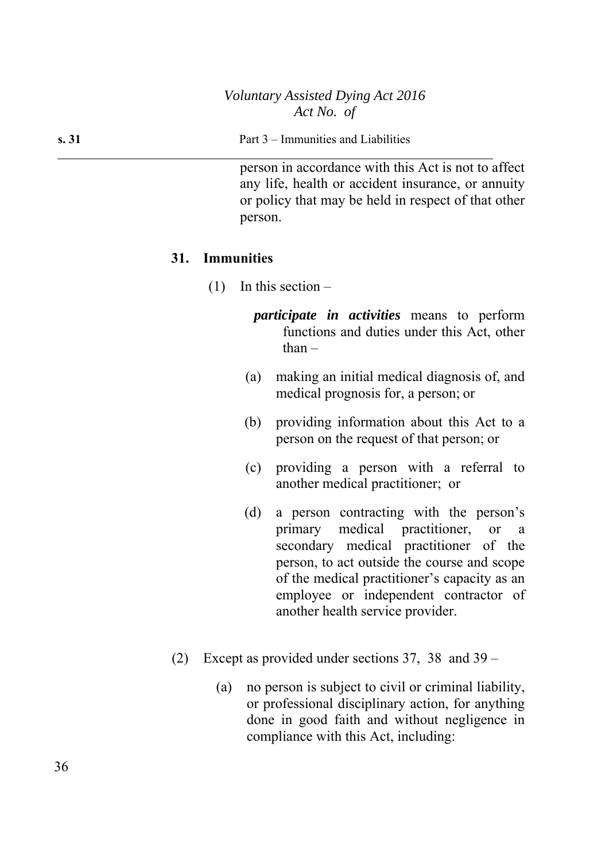**s. 31** Part 3 – Immunities and Liabilities

person in accordance with this Act is not to affect any life, health or accident insurance, or annuity or policy that may be held in respect of that other person.

#### **31. Immunities**

- (1) In this section
	- *participate in activities* means to perform functions and duties under this Act, other than  $-$
	- (a) making an initial medical diagnosis of, and medical prognosis for, a person; or
	- (b) providing information about this Act to a person on the request of that person; or
	- (c) providing a person with a referral to another medical practitioner; or
	- (d) a person contracting with the person's primary medical practitioner, or a secondary medical practitioner of the person, to act outside the course and scope of the medical practitioner's capacity as an employee or independent contractor of another health service provider.
- (2) Except as provided under sections 37, 38 and 39
	- (a) no person is subject to civil or criminal liability, or professional disciplinary action, for anything done in good faith and without negligence in compliance with this Act, including: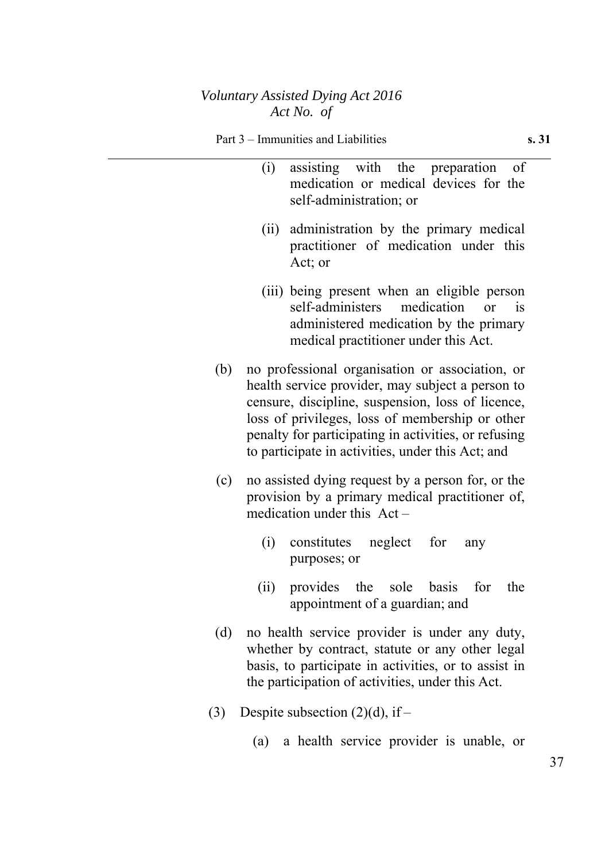- (i) assisting with the preparation of medication or medical devices for the self-administration; or (ii) administration by the primary medical practitioner of medication under this Act; or (iii) being present when an eligible person self-administers medication or is administered medication by the primary medical practitioner under this Act. (b) no professional organisation or association, or health service provider, may subject a person to censure, discipline, suspension, loss of licence, loss of privileges, loss of membership or other penalty for participating in activities, or refusing to participate in activities, under this Act; and (c) no assisted dying request by a person for, or the provision by a primary medical practitioner of, medication under this Act – (i) constitutes neglect for any purposes; or (ii) provides the sole basis for the appointment of a guardian; and (d) no health service provider is under any duty, whether by contract, statute or any other legal basis, to participate in activities, or to assist in the participation of activities, under this Act. (3) Despite subsection  $(2)(d)$ , if –
	- (a) a health service provider is unable, or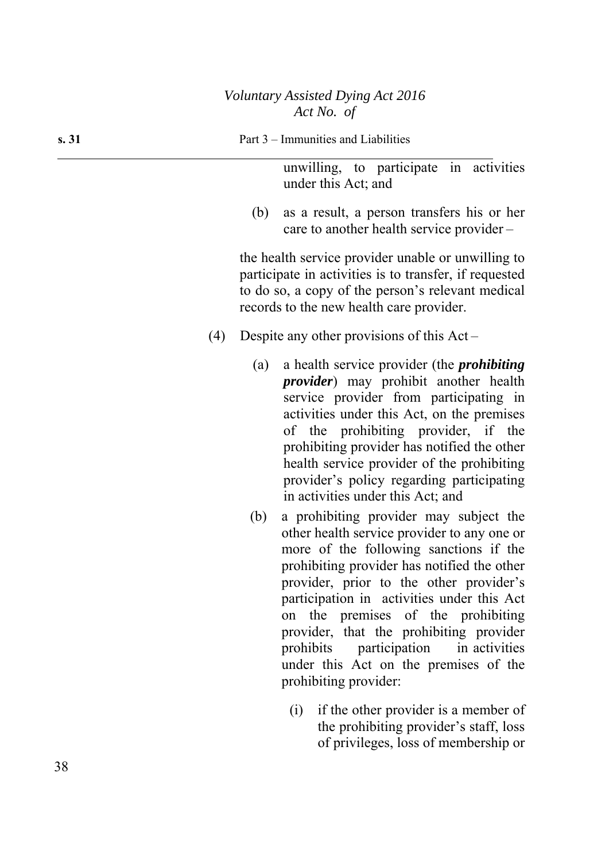**s. 31** Part 3 – Immunities and Liabilities

unwilling, to participate in activities under this Act; and

(b) as a result, a person transfers his or her care to another health service provider –

the health service provider unable or unwilling to participate in activities is to transfer, if requested to do so, a copy of the person's relevant medical records to the new health care provider.

- (4) Despite any other provisions of this Act
	- (a) a health service provider (the *prohibiting provider*) may prohibit another health service provider from participating in activities under this Act, on the premises of the prohibiting provider, if the prohibiting provider has notified the other health service provider of the prohibiting provider's policy regarding participating in activities under this Act; and
	- (b) a prohibiting provider may subject the other health service provider to any one or more of the following sanctions if the prohibiting provider has notified the other provider, prior to the other provider's participation in activities under this Act on the premises of the prohibiting provider, that the prohibiting provider prohibits participation in activities under this Act on the premises of the prohibiting provider:
		- (i) if the other provider is a member of the prohibiting provider's staff, loss of privileges, loss of membership or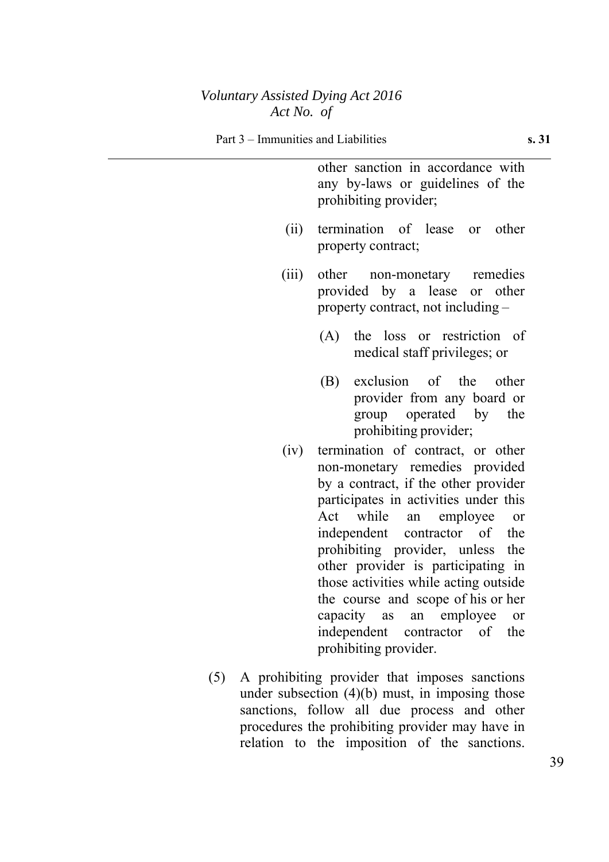other sanction in accordance with any by-laws or guidelines of the prohibiting provider;

- (ii) termination of lease or other property contract;
- (iii) other non-monetary remedies provided by a lease or other property contract, not including –
	- (A) the loss or restriction of medical staff privileges; or
	- (B) exclusion of the other provider from any board or group operated by the prohibiting provider;
- (iv) termination of contract, or other non-monetary remedies provided by a contract, if the other provider participates in activities under this Act while an employee or independent contractor of the prohibiting provider, unless the other provider is participating in those activities while acting outside the course and scope of his or her capacity as an employee or independent contractor of the prohibiting provider.
- (5) A prohibiting provider that imposes sanctions under subsection  $(4)(b)$  must, in imposing those sanctions, follow all due process and other procedures the prohibiting provider may have in relation to the imposition of the sanctions.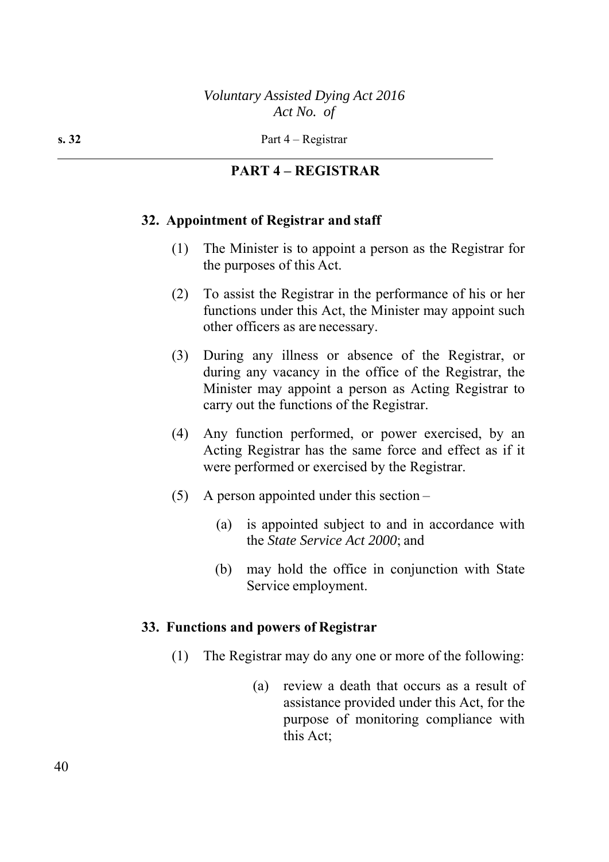#### **PART 4 – REGISTRAR**

#### **32. Appointment of Registrar and staff**

- (1) The Minister is to appoint a person as the Registrar for the purposes of this Act.
- (2) To assist the Registrar in the performance of his or her functions under this Act, the Minister may appoint such other officers as are necessary.
- (3) During any illness or absence of the Registrar, or during any vacancy in the office of the Registrar, the Minister may appoint a person as Acting Registrar to carry out the functions of the Registrar.
- (4) Any function performed, or power exercised, by an Acting Registrar has the same force and effect as if it were performed or exercised by the Registrar.
- (5) A person appointed under this section
	- (a) is appointed subject to and in accordance with the *State Service Act 2000*; and
	- (b) may hold the office in conjunction with State Service employment.

#### **33. Functions and powers of Registrar**

- (1) The Registrar may do any one or more of the following:
	- (a) review a death that occurs as a result of assistance provided under this Act, for the purpose of monitoring compliance with this Act;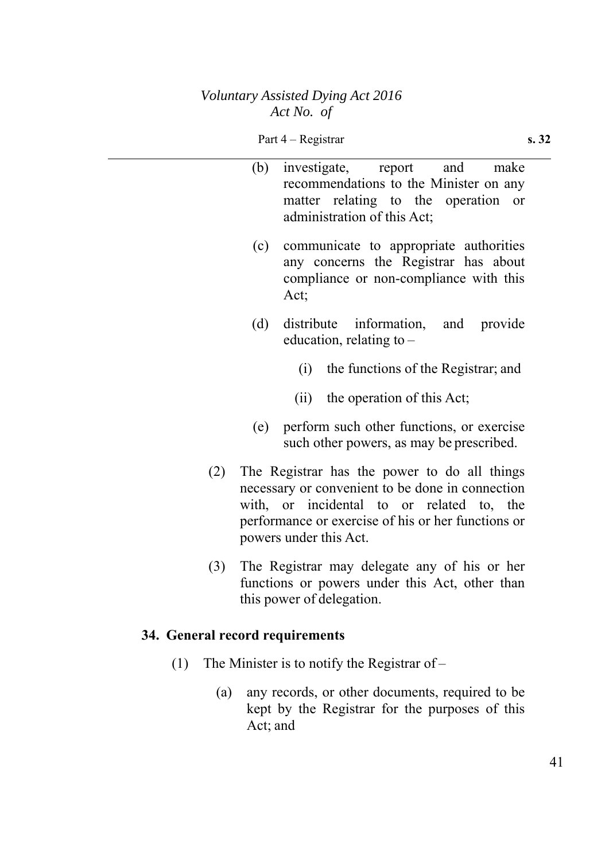|     | (b) | investigate, report and<br>make<br>recommendations to the Minister on any<br>matter relating to the operation<br><b>or</b><br>administration of this Act;                                                                     |
|-----|-----|-------------------------------------------------------------------------------------------------------------------------------------------------------------------------------------------------------------------------------|
|     | (c) | communicate to appropriate authorities<br>any concerns the Registrar has about<br>compliance or non-compliance with this<br>Act;                                                                                              |
|     | (d) | distribute information, and provide<br>education, relating to -                                                                                                                                                               |
|     |     | (i) the functions of the Registrar; and                                                                                                                                                                                       |
|     |     | (ii) the operation of this Act;                                                                                                                                                                                               |
|     | (e) | perform such other functions, or exercise<br>such other powers, as may be prescribed.                                                                                                                                         |
| (2) |     | The Registrar has the power to do all things<br>necessary or convenient to be done in connection<br>with, or incidental to or related to, the<br>performance or exercise of his or her functions or<br>powers under this Act. |
| (3) |     | The Registrar may delegate any of his or her<br>functions or powers under this Act, other than<br>this power of delegation.                                                                                                   |

# **34. General record requirements**

- (1) The Minister is to notify the Registrar of
	- (a) any records, or other documents, required to be kept by the Registrar for the purposes of this Act; and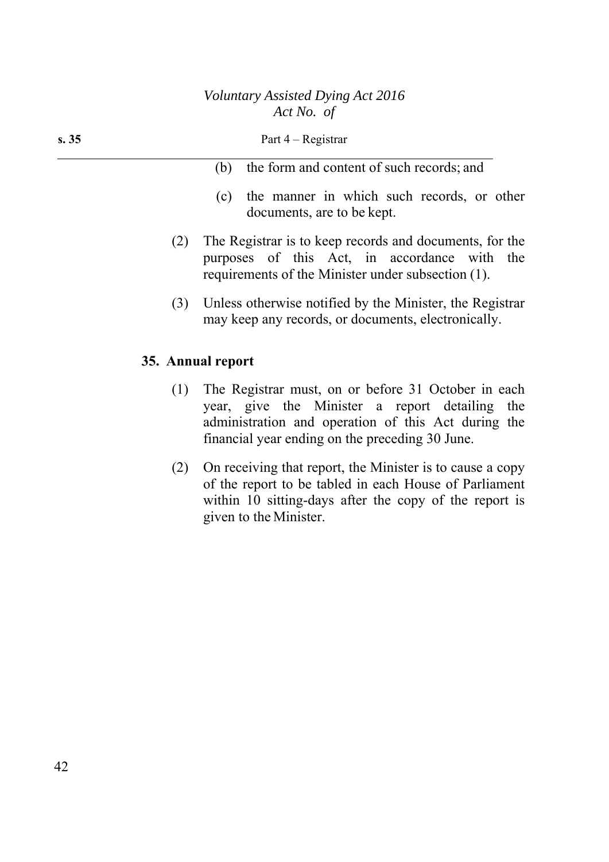| s.35 |     | Part $4 -$ Registrar                                                                                                                                                                                                                                                                                                                                    |  |  |  |  |
|------|-----|---------------------------------------------------------------------------------------------------------------------------------------------------------------------------------------------------------------------------------------------------------------------------------------------------------------------------------------------------------|--|--|--|--|
|      |     | the form and content of such records; and<br>(b)                                                                                                                                                                                                                                                                                                        |  |  |  |  |
|      |     | the manner in which such records, or other<br>(c)<br>documents, are to be kept.                                                                                                                                                                                                                                                                         |  |  |  |  |
|      | (2) | The Registrar is to keep records and documents, for the<br>purposes of this Act, in accordance with the<br>requirements of the Minister under subsection (1).                                                                                                                                                                                           |  |  |  |  |
|      | (3) | Unless otherwise notified by the Minister, the Registrar<br>may keep any records, or documents, electronically.                                                                                                                                                                                                                                         |  |  |  |  |
|      |     | 35. Annual report                                                                                                                                                                                                                                                                                                                                       |  |  |  |  |
|      | (1) | The Registrar must, on or before 31 October in each<br>$\mathbf{1}$ and $\mathbf{1}$ and $\mathbf{1}$ and $\mathbf{1}$ and $\mathbf{1}$ and $\mathbf{1}$ and $\mathbf{1}$ and $\mathbf{1}$ and $\mathbf{1}$ and $\mathbf{1}$ and $\mathbf{1}$ and $\mathbf{1}$ and $\mathbf{1}$ and $\mathbf{1}$ and $\mathbf{1}$ and $\mathbf{1}$ and $\mathbf{1}$ and |  |  |  |  |

- year, give the Minister a report detailing the administration and operation of this Act during the financial year ending on the preceding 30 June.
- (2) On receiving that report, the Minister is to cause a copy of the report to be tabled in each House of Parliament within 10 sitting-days after the copy of the report is given to the Minister.

42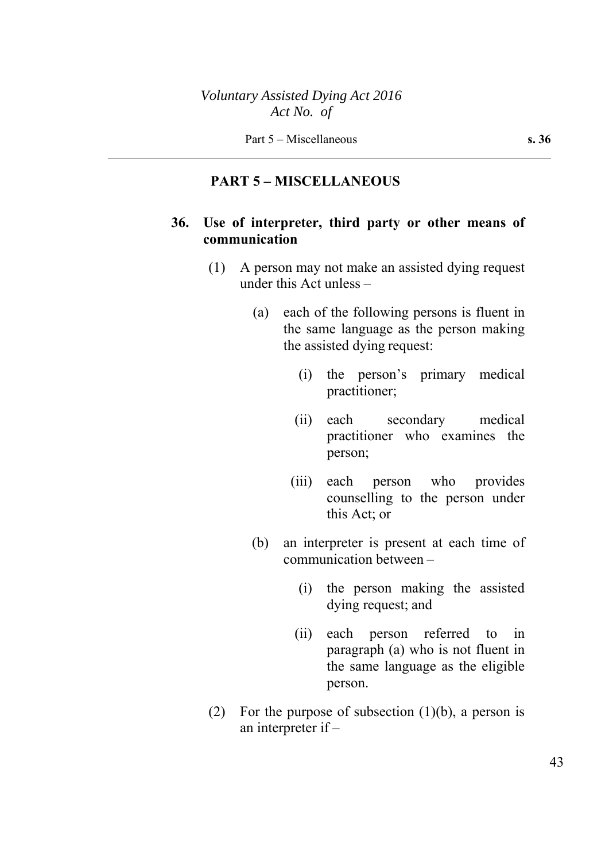#### **PART 5 – MISCELLANEOUS**

## **36. Use of interpreter, third party or other means of communication**

- (1) A person may not make an assisted dying request under this Act unless –
	- (a) each of the following persons is fluent in the same language as the person making the assisted dying request:
		- (i) the person's primary medical practitioner;
		- (ii) each secondary medical practitioner who examines the person;
		- (iii) each person who provides counselling to the person under this Act; or
	- (b) an interpreter is present at each time of communication between –
		- (i) the person making the assisted dying request; and
		- (ii) each person referred to in paragraph (a) who is not fluent in the same language as the eligible person.
- (2) For the purpose of subsection  $(1)(b)$ , a person is an interpreter if –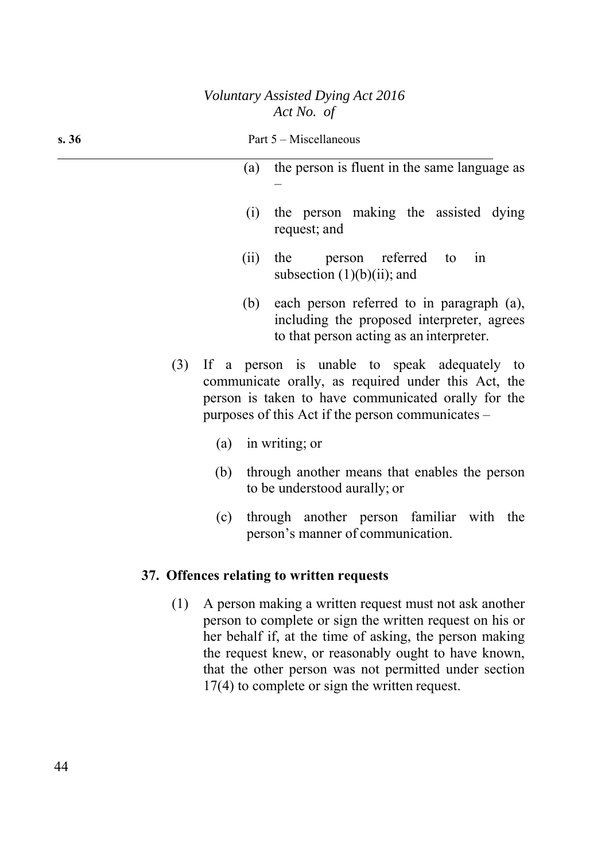| s. 36 | Part 5 – Miscellaneous                                                                                                                                                                                                                                                                         |                                                                                                                                     |  |
|-------|------------------------------------------------------------------------------------------------------------------------------------------------------------------------------------------------------------------------------------------------------------------------------------------------|-------------------------------------------------------------------------------------------------------------------------------------|--|
|       | (a)                                                                                                                                                                                                                                                                                            | the person is fluent in the same language as                                                                                        |  |
|       | (i)<br>request; and                                                                                                                                                                                                                                                                            | the person making the assisted dying                                                                                                |  |
|       | (ii)<br>the person referred to<br>subsection $(1)(b)(ii)$ ; and                                                                                                                                                                                                                                | in                                                                                                                                  |  |
|       | (b)                                                                                                                                                                                                                                                                                            | each person referred to in paragraph (a),<br>including the proposed interpreter, agrees<br>to that person acting as an interpreter. |  |
| (3)   | If a person is unable to speak adequately to<br>communicate orally, as required under this Act, the<br>person is taken to have communicated orally for the<br>purposes of this Act if the person communicates –                                                                                |                                                                                                                                     |  |
|       | $(a)$ in writing; or                                                                                                                                                                                                                                                                           |                                                                                                                                     |  |
|       | (b)<br>to be understood aurally; or                                                                                                                                                                                                                                                            | through another means that enables the person                                                                                       |  |
|       | (c)<br>person's manner of communication.                                                                                                                                                                                                                                                       | through another person familiar with the                                                                                            |  |
|       | 37. Offences relating to written requests                                                                                                                                                                                                                                                      |                                                                                                                                     |  |
| (1)   | A person making a written request must not ask another<br>person to complete or sign the written request on his or<br>her behalf if, at the time of asking, the person making<br>the request knew, or reasonably ought to have known,<br>that the other person was not permitted under section |                                                                                                                                     |  |

17(4) to complete or sign the written request.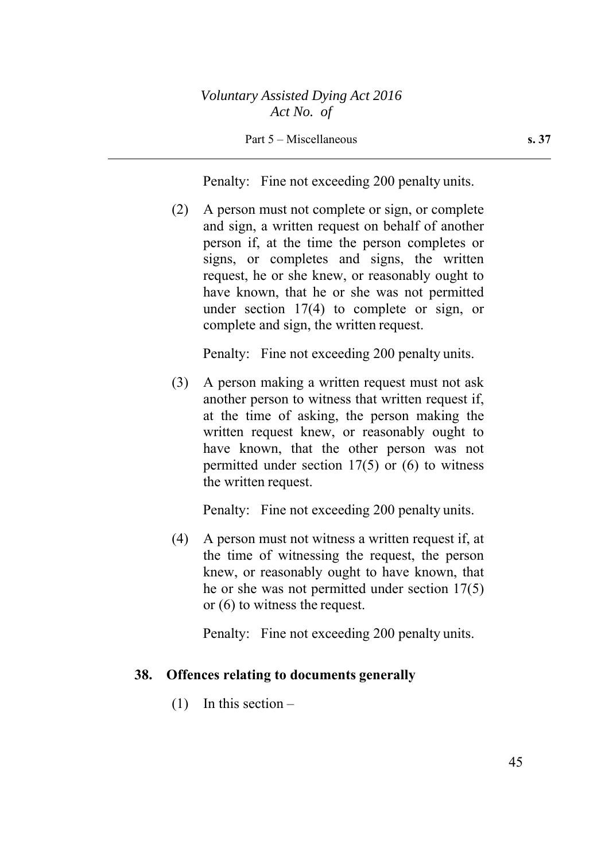Part 5 – Miscellaneous **s. 37** 

Penalty: Fine not exceeding 200 penalty units.

(2) A person must not complete or sign, or complete and sign, a written request on behalf of another person if, at the time the person completes or signs, or completes and signs, the written request, he or she knew, or reasonably ought to have known, that he or she was not permitted under section 17(4) to complete or sign, or complete and sign, the written request.

Penalty: Fine not exceeding 200 penalty units.

(3) A person making a written request must not ask another person to witness that written request if, at the time of asking, the person making the written request knew, or reasonably ought to have known, that the other person was not permitted under section 17(5) or (6) to witness the written request.

Penalty: Fine not exceeding 200 penalty units.

(4) A person must not witness a written request if, at the time of witnessing the request, the person knew, or reasonably ought to have known, that he or she was not permitted under section 17(5) or (6) to witness the request.

Penalty: Fine not exceeding 200 penalty units.

#### **38. Offences relating to documents generally**

(1) In this section –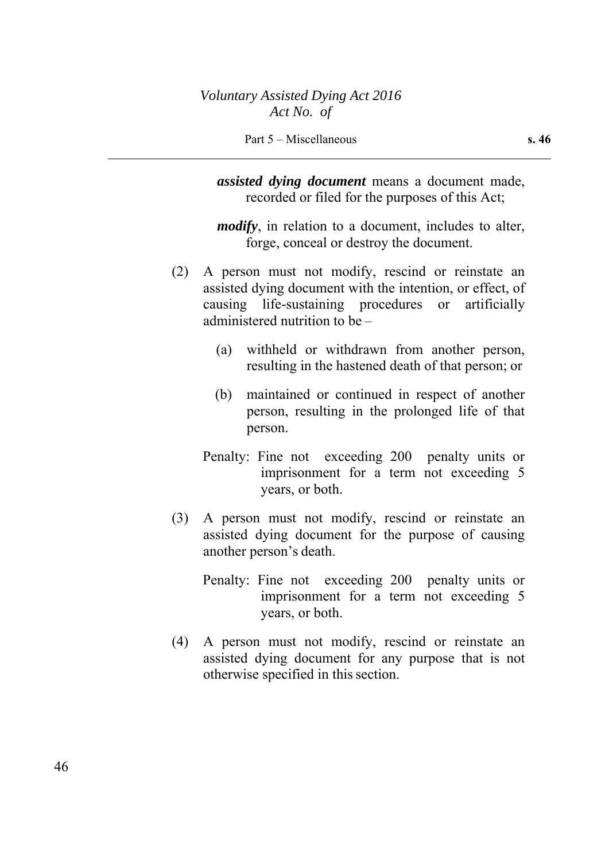*assisted dying document* means a document made, recorded or filed for the purposes of this Act;

*modify*, in relation to a document, includes to alter, forge, conceal or destroy the document.

- (2) A person must not modify, rescind or reinstate an assisted dying document with the intention, or effect, of causing life-sustaining procedures or artificially administered nutrition to be –
	- (a) withheld or withdrawn from another person, resulting in the hastened death of that person; or
	- (b) maintained or continued in respect of another person, resulting in the prolonged life of that person.
	- Penalty: Fine not exceeding 200 penalty units or imprisonment for a term not exceeding 5 years, or both.
- (3) A person must not modify, rescind or reinstate an assisted dying document for the purpose of causing another person's death.
	- Penalty: Fine not exceeding 200 penalty units or imprisonment for a term not exceeding 5 years, or both.
- (4) A person must not modify, rescind or reinstate an assisted dying document for any purpose that is not otherwise specified in this section.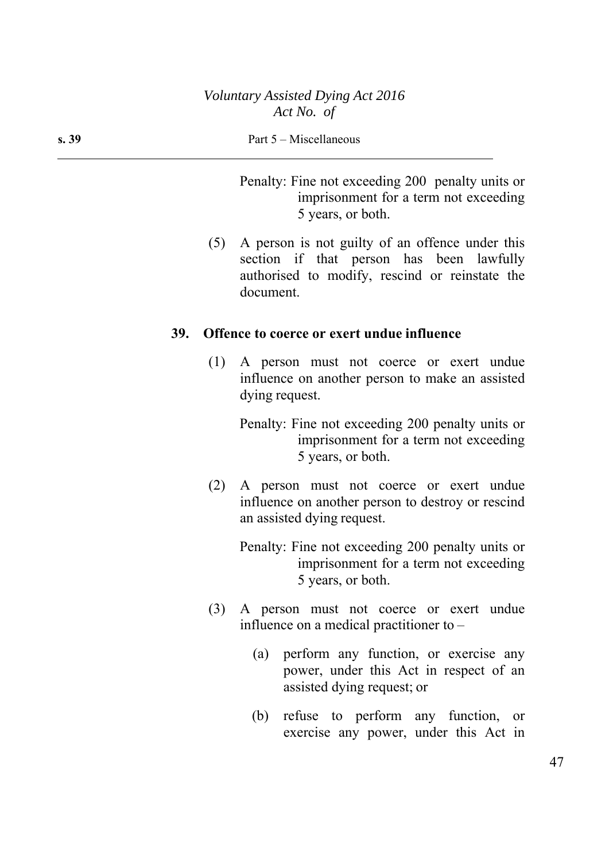Penalty: Fine not exceeding 200 penalty units or imprisonment for a term not exceeding 5 years, or both.

(5) A person is not guilty of an offence under this section if that person has been lawfully authorised to modify, rescind or reinstate the document.

#### **39. Offence to coerce or exert undue influence**

(1) A person must not coerce or exert undue influence on another person to make an assisted dying request.

Penalty: Fine not exceeding 200 penalty units or imprisonment for a term not exceeding 5 years, or both.

(2) A person must not coerce or exert undue influence on another person to destroy or rescind an assisted dying request.

> Penalty: Fine not exceeding 200 penalty units or imprisonment for a term not exceeding 5 years, or both.

- (3) A person must not coerce or exert undue influence on a medical practitioner to –
	- (a) perform any function, or exercise any power, under this Act in respect of an assisted dying request; or
	- (b) refuse to perform any function, or exercise any power, under this Act in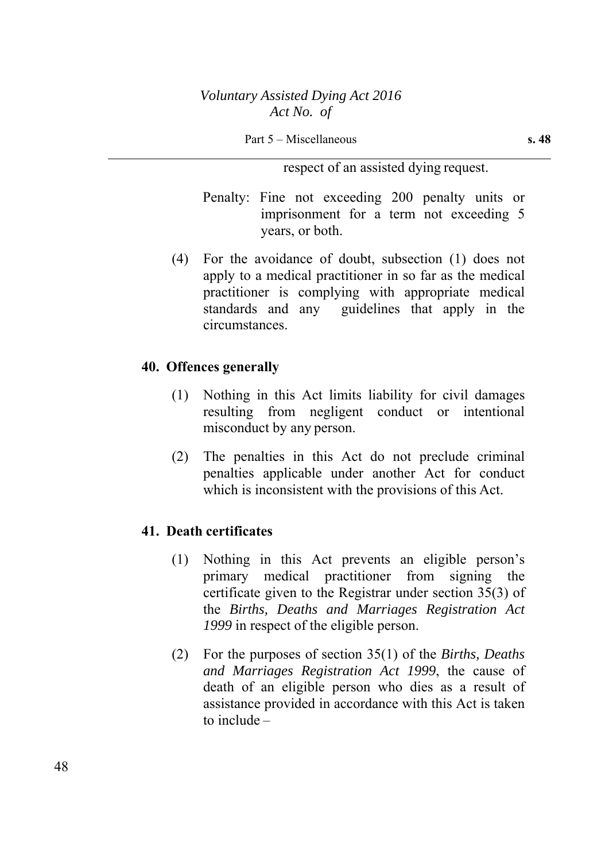#### Part 5 – Miscellaneous **s. 48**

respect of an assisted dying request.

Penalty: Fine not exceeding 200 penalty units or imprisonment for a term not exceeding 5 years, or both.

(4) For the avoidance of doubt, subsection (1) does not apply to a medical practitioner in so far as the medical practitioner is complying with appropriate medical standards and any guidelines that apply in the circumstances.

#### **40. Offences generally**

- (1) Nothing in this Act limits liability for civil damages resulting from negligent conduct or intentional misconduct by any person.
- (2) The penalties in this Act do not preclude criminal penalties applicable under another Act for conduct which is inconsistent with the provisions of this Act.

#### **41. Death certificates**

- (1) Nothing in this Act prevents an eligible person's primary medical practitioner from signing the certificate given to the Registrar under section 35(3) of the *Births, Deaths and Marriages Registration Act 1999* in respect of the eligible person.
- (2) For the purposes of section 35(1) of the *Births, Deaths and Marriages Registration Act 1999*, the cause of death of an eligible person who dies as a result of assistance provided in accordance with this Act is taken to include –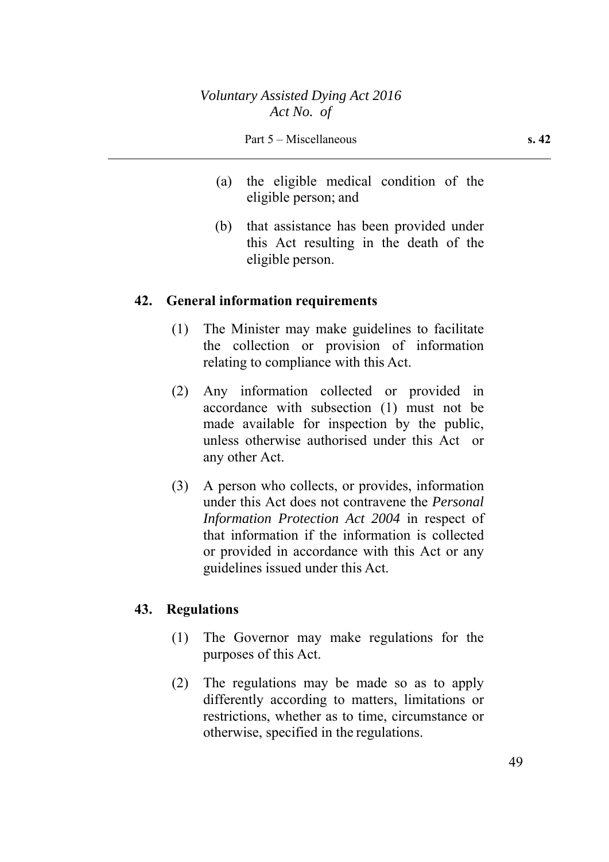- (a) the eligible medical condition of the eligible person; and
- (b) that assistance has been provided under this Act resulting in the death of the eligible person.

### **42. General information requirements**

- (1) The Minister may make guidelines to facilitate the collection or provision of information relating to compliance with this Act.
- (2) Any information collected or provided in accordance with subsection (1) must not be made available for inspection by the public, unless otherwise authorised under this Act or any other Act.
- (3) A person who collects, or provides, information under this Act does not contravene the *Personal Information Protection Act 2004* in respect of that information if the information is collected or provided in accordance with this Act or any guidelines issued under this Act.

### **43. Regulations**

- (1) The Governor may make regulations for the purposes of this Act.
- (2) The regulations may be made so as to apply differently according to matters, limitations or restrictions, whether as to time, circumstance or otherwise, specified in the regulations.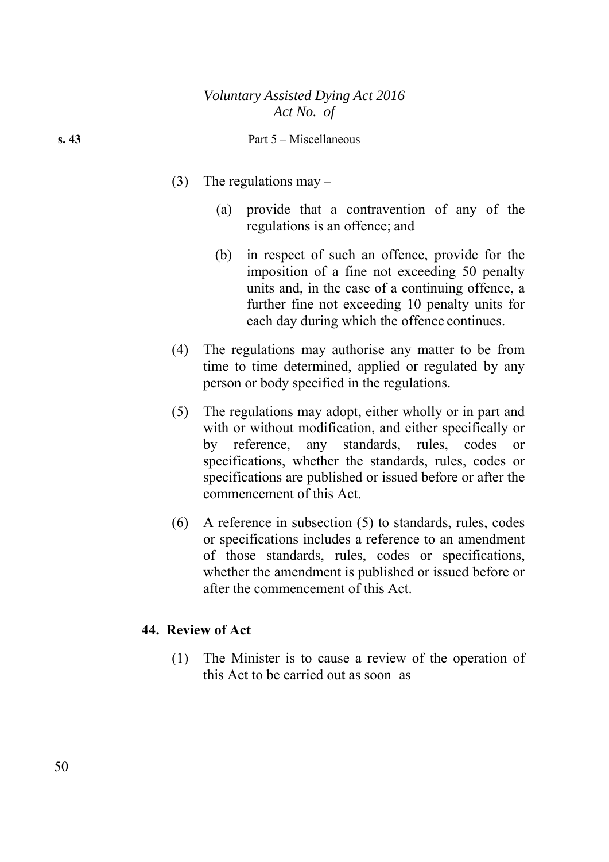- (3) The regulations may  $-$ 
	- (a) provide that a contravention of any of the regulations is an offence; and
	- (b) in respect of such an offence, provide for the imposition of a fine not exceeding 50 penalty units and, in the case of a continuing offence, a further fine not exceeding 10 penalty units for each day during which the offence continues.
- (4) The regulations may authorise any matter to be from time to time determined, applied or regulated by any person or body specified in the regulations.
- (5) The regulations may adopt, either wholly or in part and with or without modification, and either specifically or by reference, any standards, rules, codes or specifications, whether the standards, rules, codes or specifications are published or issued before or after the commencement of this Act.
- (6) A reference in subsection (5) to standards, rules, codes or specifications includes a reference to an amendment of those standards, rules, codes or specifications, whether the amendment is published or issued before or after the commencement of this Act.

### **44. Review of Act**

(1) The Minister is to cause a review of the operation of this Act to be carried out as soon as